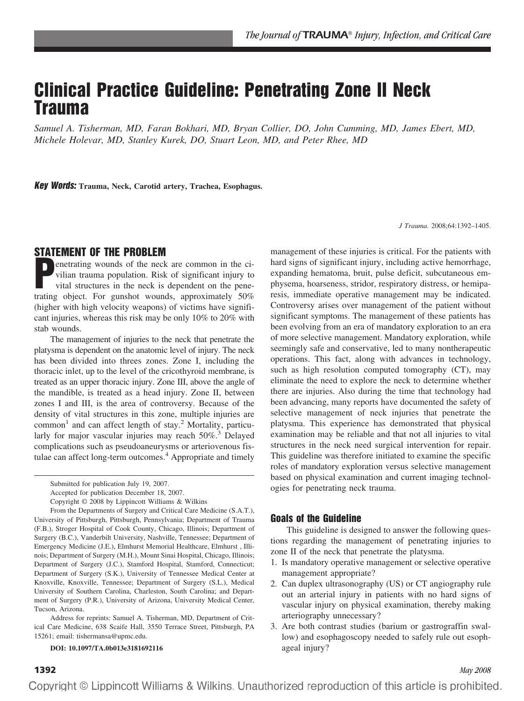# **Clinical Practice Guideline: Penetrating Zone II Neck Trauma**

*Samuel A. Tisherman, MD, Faran Bokhari, MD, Bryan Collier, DO, John Cumming, MD, James Ebert, MD, Michele Holevar, MD, Stanley Kurek, DO, Stuart Leon, MD, and Peter Rhee, MD*

**Key Words: Trauma, Neck, Carotid artery, Trachea, Esophagus.**

*J Trauma.* 2008;64:1392–1405.

## **STATEMENT OF THE PROBLEM**

**P** enetrating wounds of the neck are common in the civilian trauma population. Risk of significant injury to vital structures in the neck is dependent on the penetrating object. For gunshot wounds, approximately 50% (higher with high velocity weapons) of victims have significant injuries, whereas this risk may be only 10% to 20% with stab wounds.

The management of injuries to the neck that penetrate the platysma is dependent on the anatomic level of injury. The neck has been divided into threes zones. Zone I, including the thoracic inlet, up to the level of the cricothyroid membrane, is treated as an upper thoracic injury. Zone III, above the angle of the mandible, is treated as a head injury. Zone II, between zones I and III, is the area of controversy. Because of the density of vital structures in this zone, multiple injuries are  $common<sup>1</sup>$  and can affect length of stay.<sup>2</sup> Mortality, particularly for major vascular injuries may reach  $50\%$ .<sup>3</sup> Delayed complications such as pseudoaneurysms or arteriovenous fistulae can affect long-term outcomes.<sup>4</sup> Appropriate and timely

From the Departments of Surgery and Critical Care Medicine (S.A.T.), University of Pittsburgh, Pittsburgh, Pennsylvania; Department of Trauma (F.B.), Stroger Hospital of Cook County, Chicago, Illinois; Department of Surgery (B.C.), Vanderbilt University, Nashville, Tennessee; Department of Emergency Medicine (J.E.), Elmhurst Memorial Healthcare, Elmhurst , Illinois; Department of Surgery (M.H.), Mount Sinai Hospital, Chicago, Illinois; Department of Surgery (J.C.), Stamford Hospital, Stamford, Connecticut; Department of Surgery (S.K.), University of Tennessee Medical Center at Knoxville, Knoxville, Tennessee; Department of Surgery (S.L.), Medical University of Southern Carolina, Charleston, South Carolina; and Department of Surgery (P.R.), University of Arizona, University Medical Center, Tucson, Arizona.

Address for reprints: Samuel A. Tisherman, MD, Department of Critical Care Medicine, 638 Scaife Hall, 3550 Terrace Street, Pittsburgh, PA 15261; email: tishermansa@upmc.edu.

#### **DOI: 10.1097/TA.0b013e3181692116**

management of these injuries is critical. For the patients with hard signs of significant injury, including active hemorrhage, expanding hematoma, bruit, pulse deficit, subcutaneous emphysema, hoarseness, stridor, respiratory distress, or hemiparesis, immediate operative management may be indicated. Controversy arises over management of the patient without significant symptoms. The management of these patients has been evolving from an era of mandatory exploration to an era of more selective management. Mandatory exploration, while seemingly safe and conservative, led to many nontherapeutic operations. This fact, along with advances in technology, such as high resolution computed tomography (CT), may eliminate the need to explore the neck to determine whether there are injuries. Also during the time that technology had been advancing, many reports have documented the safety of selective management of neck injuries that penetrate the platysma. This experience has demonstrated that physical examination may be reliable and that not all injuries to vital structures in the neck need surgical intervention for repair. This guideline was therefore initiated to examine the specific roles of mandatory exploration versus selective management based on physical examination and current imaging technologies for penetrating neck trauma.

#### **Goals of the Guideline**

This guideline is designed to answer the following questions regarding the management of penetrating injuries to zone II of the neck that penetrate the platysma.

- 1. Is mandatory operative management or selective operative management appropriate?
- 2. Can duplex ultrasonography (US) or CT angiography rule out an arterial injury in patients with no hard signs of vascular injury on physical examination, thereby making arteriography unnecessary?
- 3. Are both contrast studies (barium or gastrograffin swallow) and esophagoscopy needed to safely rule out esophageal injury?

Submitted for publication July 19, 2007.

Accepted for publication December 18, 2007.

Copyright © 2008 by Lippincott Williams & Wilkins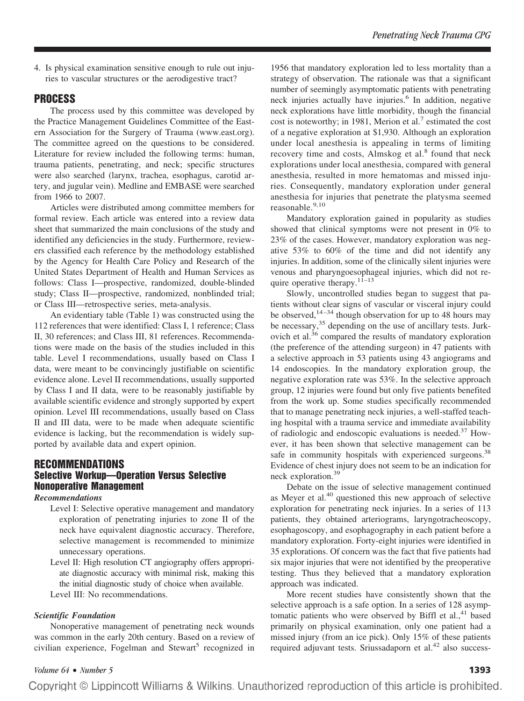4. Is physical examination sensitive enough to rule out injuries to vascular structures or the aerodigestive tract?

# **PROCESS**

The process used by this committee was developed by the Practice Management Guidelines Committee of the Eastern Association for the Surgery of Trauma (www.east.org). The committee agreed on the questions to be considered. Literature for review included the following terms: human, trauma patients, penetrating, and neck; specific structures were also searched (larynx, trachea, esophagus, carotid artery, and jugular vein). Medline and EMBASE were searched from 1966 to 2007.

Articles were distributed among committee members for formal review. Each article was entered into a review data sheet that summarized the main conclusions of the study and identified any deficiencies in the study. Furthermore, reviewers classified each reference by the methodology established by the Agency for Health Care Policy and Research of the United States Department of Health and Human Services as follows: Class I—prospective, randomized, double-blinded study; Class II—prospective, randomized, nonblinded trial; or Class III—retrospective series, meta-analysis.

An evidentiary table (Table 1) was constructed using the 112 references that were identified: Class I, 1 reference; Class II, 30 references; and Class III, 81 references. Recommendations were made on the basis of the studies included in this table. Level I recommendations, usually based on Class I data, were meant to be convincingly justifiable on scientific evidence alone. Level II recommendations, usually supported by Class I and II data, were to be reasonably justifiable by available scientific evidence and strongly supported by expert opinion. Level III recommendations, usually based on Class II and III data, were to be made when adequate scientific evidence is lacking, but the recommendation is widely supported by available data and expert opinion.

# **RECOMMENDATIONS Selective Workup—Operation Versus Selective Nonoperative Management**

#### *Recommendations*

- Level I: Selective operative management and mandatory exploration of penetrating injuries to zone II of the neck have equivalent diagnostic accuracy. Therefore, selective management is recommended to minimize unnecessary operations.
- Level II: High resolution CT angiography offers appropriate diagnostic accuracy with minimal risk, making this the initial diagnostic study of choice when available.

Level III: No recommendations.

### *Scientific Foundation*

Nonoperative management of penetrating neck wounds was common in the early 20th century. Based on a review of civilian experience, Fogelman and Stewart<sup>5</sup> recognized in 1956 that mandatory exploration led to less mortality than a strategy of observation. The rationale was that a significant number of seemingly asymptomatic patients with penetrating neck injuries actually have injuries.<sup>6</sup> In addition, negative neck explorations have little morbidity, though the financial cost is noteworthy; in 1981, Merion et al.<sup>7</sup> estimated the cost of a negative exploration at \$1,930. Although an exploration under local anesthesia is appealing in terms of limiting recovery time and costs, Almskog et al. $8$  found that neck explorations under local anesthesia, compared with general anesthesia, resulted in more hematomas and missed injuries. Consequently, mandatory exploration under general anesthesia for injuries that penetrate the platysma seemed reasonable.<sup>9,10</sup>

Mandatory exploration gained in popularity as studies showed that clinical symptoms were not present in 0% to 23% of the cases. However, mandatory exploration was negative 53% to 60% of the time and did not identify any injuries. In addition, some of the clinically silent injuries were venous and pharyngoesophageal injuries, which did not require operative therapy.<sup>11–13</sup>

Slowly, uncontrolled studies began to suggest that patients without clear signs of vascular or visceral injury could be observed,  $14-34$  though observation for up to 48 hours may be necessary,<sup>35</sup> depending on the use of ancillary tests. Jurkovich et al.<sup>36</sup> compared the results of mandatory exploration (the preference of the attending surgeon) in 47 patients with a selective approach in 53 patients using 43 angiograms and 14 endoscopies. In the mandatory exploration group, the negative exploration rate was 53%. In the selective approach group, 12 injuries were found but only five patients benefited from the work up. Some studies specifically recommended that to manage penetrating neck injuries, a well-staffed teaching hospital with a trauma service and immediate availability of radiologic and endoscopic evaluations is needed.<sup>37</sup> However, it has been shown that selective management can be safe in community hospitals with experienced surgeons.<sup>38</sup> Evidence of chest injury does not seem to be an indication for neck exploration.<sup>39</sup>

Debate on the issue of selective management continued as Meyer et al.<sup>40</sup> questioned this new approach of selective exploration for penetrating neck injuries. In a series of 113 patients, they obtained arteriograms, laryngotracheoscopy, esophagoscopy, and esophagography in each patient before a mandatory exploration. Forty-eight injuries were identified in 35 explorations. Of concern was the fact that five patients had six major injuries that were not identified by the preoperative testing. Thus they believed that a mandatory exploration approach was indicated.

More recent studies have consistently shown that the selective approach is a safe option. In a series of 128 asymptomatic patients who were observed by Biffl et al., $41$  based primarily on physical examination, only one patient had a missed injury (from an ice pick). Only 15% of these patients required adjuvant tests. Sriussadaporn et al.<sup>42</sup> also success-

### *Volume 64* • *Number 5* **1393**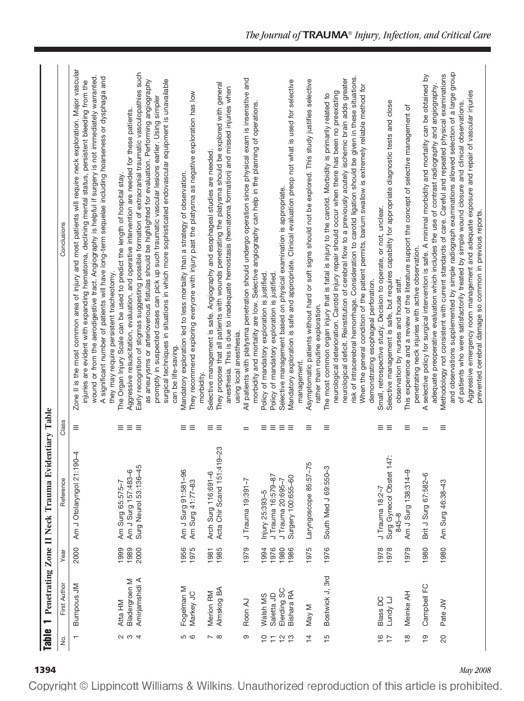| <b>Table</b>                    | $\overline{ }$                 |              | Penetrating Zone II Neck Trauma Evid              | entiary Table     |                                                                                                                                                                                                                                                                                                                                                                                                                                                                              |
|---------------------------------|--------------------------------|--------------|---------------------------------------------------|-------------------|------------------------------------------------------------------------------------------------------------------------------------------------------------------------------------------------------------------------------------------------------------------------------------------------------------------------------------------------------------------------------------------------------------------------------------------------------------------------------|
| Σ.                              | First Author                   | Year         | Reference                                         | Class             | Conclusions                                                                                                                                                                                                                                                                                                                                                                                                                                                                  |
| $\mathbf{\tau}$                 | <b>Bumpous JM</b>              | 2000         | $\overline{4}$<br>Am J Otolaryngol 21:190         | Ξ                 | Zone II is the most common area of injury and most patients will require neck exploration. Major vascular<br>A significant number of patients will have long-term sequelae including hoarseness or dysphagia and<br>wound or from the aerodigestive tract. Angiography is helpful if surgery is not immediately warranted<br>injuries are evident with expanding hematoma, declining mental status, persistent bleeding from the<br>they may require persistent tracheotomy. |
|                                 | Atta HM                        | 1999         | Am Surg 65:575-7                                  | ≡                 | The Organ Injury Scale can be used to predict the length of hospital stay.                                                                                                                                                                                                                                                                                                                                                                                                   |
| $\alpha$ $\omega$ 4             | <b>Bladergroen M</b>           | 1989         | Am J Surg 157:483-6                               | $\equiv$          | Aggressive resuscitation, evaluation, and operative intervention are needed for these patients.                                                                                                                                                                                                                                                                                                                                                                              |
|                                 | Amirjamshidi A                 | 2000         | Surg Neurol 53:136-45                             | Ξ                 | Early recognition of stigmas suggesting possible formation of extracranial traumatic vasculopathies such<br>surgical techniques in situations in which more sophisticated endovascular equipment is unavailable<br>as aneurysms or arteriovenous fistulas should be highlighted for evaluation. Performing angiography<br>promptly in suspected cases can pick up such traumatic vascular lesions earlier. Using simpler<br>can be life-saving.                              |
| <b>5 G</b>                      | Fogelman M                     | 1956         | Am J Surg 91:581-96                               | Ξ.                | Mandatory exploration led to less mortality than a strategy of observation.                                                                                                                                                                                                                                                                                                                                                                                                  |
|                                 | Markey JC                      | 1975         | Am Surg 41:77-83                                  | Ξ                 | They recommend exploring everyone with injury past the platysma as negative exploration has low<br>morbidity.                                                                                                                                                                                                                                                                                                                                                                |
| $\sim$ $\infty$                 | Almskog BA<br><b>Merion RM</b> | 1985<br>1981 | Acta Chir Scand 151:419-23<br>Arch Surg 116:691-6 | ≡≡                | They propose that all patients with wounds penetrating the platysma should be explored with general<br>Selective management is safe. Angiography and esophageal studies are needed.                                                                                                                                                                                                                                                                                          |
|                                 |                                |              |                                                   |                   | anesthesia. This is due to inadequate hemostasis (hematoma formation) and missed injuries when<br>using local anesthesia.                                                                                                                                                                                                                                                                                                                                                    |
| တ                               | Roon AJ                        | 1979         | J Trauma 19:391-7                                 | $=$               | All patients with platysma penetration should undergo operation since physical exam is insensitive and                                                                                                                                                                                                                                                                                                                                                                       |
|                                 |                                |              |                                                   |                   | morbidity and mortality are low. Selective angiography can help in the planning of operations.                                                                                                                                                                                                                                                                                                                                                                               |
| $\overline{C}$                  | Walsh MS                       | 1994         | Injury 25:393-5                                   | Ξ                 | Policy of mandatory exploration is justified.                                                                                                                                                                                                                                                                                                                                                                                                                                |
| $\overline{1}$                  | Saletta JD                     | 1976<br>1980 | J Trauma 16:579-87<br>J Trauma 20:695-7           | Ξ                 | Policy of mandatory exploration is justified.                                                                                                                                                                                                                                                                                                                                                                                                                                |
| $\frac{10}{10}$                 | Elerding SC<br>Bishara RA      | 1986         | Surgery 100:655-60                                | $\equiv$ $\equiv$ | Mandatory exploration is safe and appropriate. Clinical evaluation preop not what is used for selective<br>Selective management based on physical examination is appropriate.                                                                                                                                                                                                                                                                                                |
|                                 |                                |              |                                                   |                   | management.                                                                                                                                                                                                                                                                                                                                                                                                                                                                  |
| $\overline{4}$                  | May M                          | 1975         | Laryngoscope 85:57-75                             | Ξ                 | Asymptomatic patients without hard or soft signs should not be explored. This study justifies selective<br>rather than routine exploration.                                                                                                                                                                                                                                                                                                                                  |
| $\frac{5}{1}$                   | Bostwick J, 3rd                | 1976         | South Med J 69:550-3                              | Ξ                 | The most common organ injury that is fatal is injury to the carotid. Morbidity is primarily related to                                                                                                                                                                                                                                                                                                                                                                       |
|                                 |                                |              |                                                   |                   | risk of intracerebral hemorrhage. Consideration to carotid ligation should be given in these situations.<br>neurological deficit. Reinstitution of cerebral flow to a previously acutely ischemic brain adds greater<br>When the general condition of the patient permits, barium swallow is extremely reliable method for<br>neurological deterioration. Carotid injury repair should occur when there has been no preexisting                                              |
|                                 |                                |              |                                                   |                   | demonstrating esophageal perforation.                                                                                                                                                                                                                                                                                                                                                                                                                                        |
| $\frac{6}{1}$<br>$\overline{1}$ | Blass DC<br>Lundy LJ           | 1978<br>1978 | Surg Gynecol Obstet 14<br>J Trauma 18:2-7         | ≡≡                | Selective management is safe, but requires capability for appropriate diagnostic tests and close<br>Small, retrospective study. Decision to operate, or not, unclear.                                                                                                                                                                                                                                                                                                        |
|                                 |                                |              | 845-8                                             |                   | observation by nurses and house staff.                                                                                                                                                                                                                                                                                                                                                                                                                                       |
| $\frac{\infty}{2}$              | Meinke AH                      | 1979         | Am J Surg 138:314-9                               | Ξ                 | This experience and a review of the literature support the concept of selective management of                                                                                                                                                                                                                                                                                                                                                                                |
| စ္                              | Campbell FC                    | 1980         | Brit J Surg 67:582-6                              | $=$               | selective policy for surgical intervention is safe. A minimal morbidity and mortality can be obtained by<br>adequate preoperative evaluation which includes the use of contrast radiography and angiography.<br>penetrating neck injuries with active observation.<br>⋖                                                                                                                                                                                                      |
| $\overline{\mathcal{S}}$        | Pate JW                        | 1980         | Am Surg 46:38-43                                  | Ξ                 | and observations supplemented by simple radiograph examinations allowed selection of a large group<br>Methodology not consistent with current standards of care. Careful and repeated physical examinations                                                                                                                                                                                                                                                                  |
|                                 |                                |              |                                                   |                   | Aggressive emergency room management and adequate exposure and repair of vascular injuries<br>of patients who were satisfactorily treated by simple wound closure and clinical observations.<br>prevented cerebral damage so common in previous reports.                                                                                                                                                                                                                     |
|                                 |                                |              |                                                   |                   |                                                                                                                                                                                                                                                                                                                                                                                                                                                                              |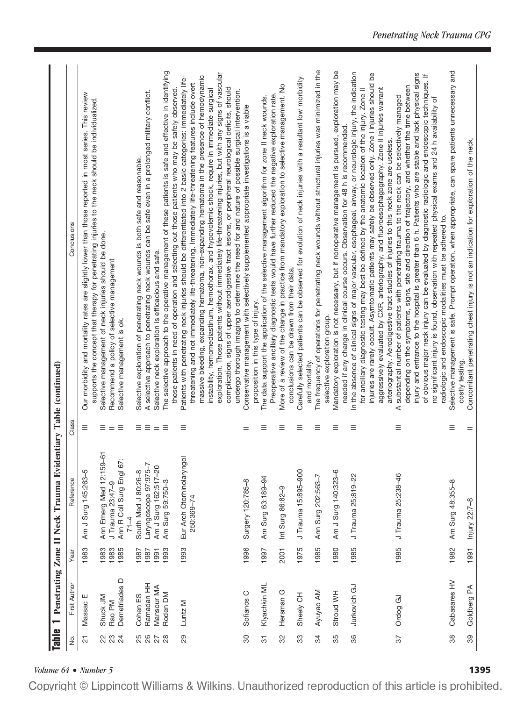| <b>Table</b>   |                          |              | Penetrating Zone II Neck Trauma Evid           |                       | entiary Table (continued)                                                                                                                                                                                      |
|----------------|--------------------------|--------------|------------------------------------------------|-----------------------|----------------------------------------------------------------------------------------------------------------------------------------------------------------------------------------------------------------|
| ,<br>2         | First Author             | Year         | Reference                                      | Class                 | Conclusions                                                                                                                                                                                                    |
| $\overline{c}$ | Massac E                 | 1983         | Am J Surg 145:263-5                            | Ξ                     | Our morbidity and mortality rates are slightly lower than those reported in most series. This review<br>supports the concept that therapy for penetrating injuries to the neck should be individualized.       |
| ಜ ಜ            | Shuck JM<br>Rao PM       | 1983<br>1983 | Ann Emerg Med 12:159-61<br>J Trauma 23:47-9    | $\equiv$ $=$ $\equiv$ | Selective management of neck injuries should be done.<br>Recommend a policy of selective management                                                                                                            |
| $\overline{2}$ | Demetriades D            | 1985         | $\cdot$<br>Ann R Coll Surg Engl 67<br>$71 - 4$ |                       | Selective management is ok.                                                                                                                                                                                    |
| 8<br>26        | Cohen ES                 | 1987         | South Med J 80:26-8                            | ≡≡                    | Selective exploration of penetrating neck wounds is both safe and reasonable.                                                                                                                                  |
| 27             | Ramadan HH<br>Mansour MA | 1987<br>1991 | Laryngoscope 97:975-7<br>Am J Surg 162:517-20  | $=$                   | A selective approach to penetrating neck wounds can be safe even in a prolonged military conflict.<br>Selective neck exploration is efficacious and safe.                                                      |
| 28             | Roden DM                 | 1993         | Am Surg 59:750-3                               | Ξ                     | The selective approach to the operative management of these patients is safe and effective in identifying                                                                                                      |
| 29             | Luntz M                  | 1993         | Eur Arch Otorhinolaryngol                      | Ξ                     | Patients with penetrating neck injuries should be differentiated into 2 basic categories: immediately life-<br>those patients in need of operation and selecting out those patients who may be safely observed |
|                |                          |              | 250:369-74                                     |                       | massive bleeding, expanding hematoma, non-expanding hematoma in the presence of hemodynamic<br>threatening and not immediately life-threatening. Immediately life-threatening features include overt           |
|                |                          |              |                                                |                       | exploration. Those patients without immediately life-threatening injuries, but with any signs of vascular<br>instability, hemomediastinum, hemothorax. and hypovolemic shock, require In immediate surgical    |
|                |                          |              |                                                |                       | complication, signs of upper aerodigestive tract lesions, or peripheral neurological deficits, should<br>undergo thorough imaging to determine the need for and nature of possible surgical intervention.      |
| 30             | Sofianos C               | 1996         | Surgery 120:785-8                              | $=$                   | Conservative management with selectively supplemented appropriate investigations is a viable                                                                                                                   |
| $\overline{5}$ | Klyachkin ML             | 1997         | Am Surg 63:189-94                              | Ξ                     | The data support the application of the selective management algorithm for zone II neck wounds.<br>proposition in this type of injury.                                                                         |
|                |                          |              |                                                |                       | Preoperative ancillary diagnostic tests would have further reduced the negative exploration rate.                                                                                                              |
| 32             | Hersman G                | 2001         | Int Surg 86:82-9                               | ≡                     | More of a review of the change in practice from mandatory exploration to selective management. No                                                                                                              |
| 33             | Sheely CH                | 1975         | J Trauma 15:895-900                            | Ξ                     | Carefully selected patients can be observed for evolution of neck injuries with a resultant low morbidity<br>conclusions can be drawn from their data.                                                         |
| 34             | Ayuyao AM                | 1985         | Ann Surg 202:563-7                             | Ξ                     | The frequency of operations for penetrating neck wounds without structural injuries was minimized in the<br>and mortality.                                                                                     |
|                |                          |              |                                                |                       | selective exploration group.                                                                                                                                                                                   |
| 35             | Stroud WH                | 1980         | Am J Surg 140:323-6                            | $\equiv$              | Mandatory exploration is not necessary, but if nonoperative management is pursued, exploration may be                                                                                                          |
| 36             | Jurkovich GJ             | 1985         | J Trauma 25:819-22                             | Ξ                     | In the absence of clinical signs of major vascular, esophageal, airway, or neurologic injury, the indication<br>needed if any change in clinical course occurs. Observation for 48 h is recommended.           |
|                |                          |              |                                                |                       | for ancillary diagnostic testing may best be defined by the anatomic location of the injury. Zone II                                                                                                           |
|                |                          |              |                                                |                       | injuries are rarely occult. Asymtomatic patients may safely be observed only. Zone I injuries should be<br>aggressively evaluated by CXR, arteriography, and fluoroesophagography. Zone Il injuries warrant    |
|                |                          |              |                                                |                       | arteriography. Aerodigestive tract studies of injuries to this neck zone are useless.                                                                                                                          |
| 57             | Ordog GJ                 | 1985         | J Trauma 25:238-46                             | Ξ                     | substantial number of patients with penetrating trauma to the neck can be selectively managed<br>⋖                                                                                                             |
|                |                          |              |                                                |                       | injury and entrance to the hospital is greater than 6 h. Patients who are stable and lack physical signs<br>depending on the symptoms, signs, site and direction of trajectory, and whether the time between   |
|                |                          |              |                                                |                       | of obvious major neck injury can be evaluated by diagnostic radiologic and endoscopic techniques. If                                                                                                           |
|                |                          |              |                                                |                       | no significant injury is found, observation with repeated physical exams and 24 h availability of<br>radiologic and endoscopic modalities must be adhered to.                                                  |
| 88             | Cabasares HV             | 1982         | Am Surg 48:355-8                               | Ξ                     | Selective management is safe. Prompt operation, when appropriate, can spare patients unnecessary and                                                                                                           |
| 89             | Goldberg PA              | 1991         | Injury 22:7-8                                  | $=$                   | Concomitant penetrating chest injury is not an indication for exploration of the neck.<br>costly testing.                                                                                                      |

*Volume 64* • *Number 5*<br>**Copyright** © Lippincott Williams & Wilkins. Unauthorized reproduction of this article is prohibited.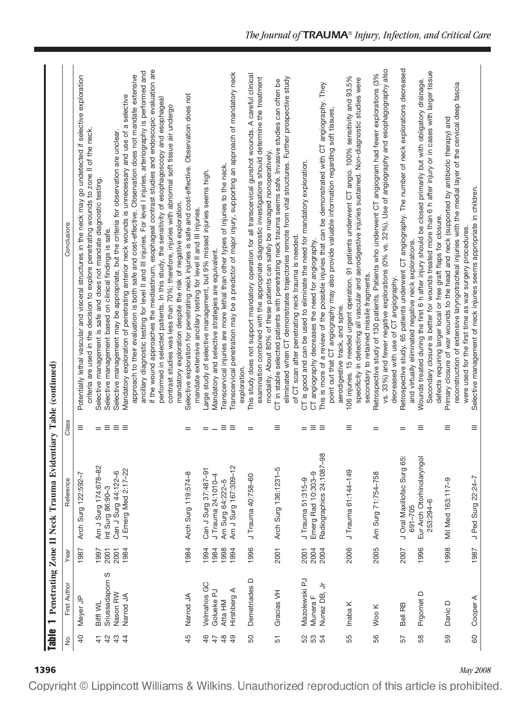| $\frac{1}{\sinh(\theta)}$                         | ┯                                       |                      | Penetrating Zone II Neck Trauma Evid                            |                               | entiary Table (continued)                                                                                                                                                                                                                                                                                                                                                                                                                                                                                                                                                                                                            |
|---------------------------------------------------|-----------------------------------------|----------------------|-----------------------------------------------------------------|-------------------------------|--------------------------------------------------------------------------------------------------------------------------------------------------------------------------------------------------------------------------------------------------------------------------------------------------------------------------------------------------------------------------------------------------------------------------------------------------------------------------------------------------------------------------------------------------------------------------------------------------------------------------------------|
| s<br>S                                            | First Author                            | Year                 | Reference                                                       | Class                         | Conclusions                                                                                                                                                                                                                                                                                                                                                                                                                                                                                                                                                                                                                          |
| $\overline{a}$                                    | Meyer JP                                | 1987                 | Arch Surg 122:592-7                                             | $\equiv$                      | Potentially lethal vascular and visceral structures in the neck may go undetected if selective exploration<br>criteria are used in the decision to explore penetrating wounds to zone II of the neck.                                                                                                                                                                                                                                                                                                                                                                                                                                |
| $\overline{4}$<br>$\mathfrak{S}$<br>$\frac{4}{3}$ | Sriussadaporn S<br>Nason RW<br>Biffl WL | 1997<br>2001<br>2001 | Am J Surg 174:678-82<br>Can J Surg 44:122-6<br>Int Surg 86:90-3 | Ξ.<br>$=$                     | Selective management may be appropriate, but the criteria for observation are unclear.<br>Selective management is safe and does not mandate diagnostic testing.<br>Selective management based on clinical findings is safe.                                                                                                                                                                                                                                                                                                                                                                                                          |
| $\overline{4}$                                    | Narrod JA                               | 1984                 | J Emerg Med 2:17-22                                             | $\equiv$ $\equiv$             | if the wound approaches the mediastinum, esophageal contrast studies and endoscopic evaluation are<br>ancillary diagnostic testing for level II and III injuries. For level I injuries, arteriography is performed and<br>approach to their evaluation is both safe and cost-effective. Observation does not mandate extensive<br>Mandatory exploration of penetrating anterior neck wounds is unnecessary and use of a selective<br>performed in selected patients. In this study, the sensitivity of esophagoscopy and esophageal<br>contrast studies was less than 70%; therefore, injuries with abnormal soft tissue air undergo |
| 45                                                | Narrod JA                               | 1984                 | Arch Surg 119:574-8                                             | =                             | Selective exploration for penetrating neck injuries is safe and cost-effective. Observation does not<br>mandatory exploration despite the risk of negative exploration.<br>mandate extensive ancillary testing for level II and III injuries.                                                                                                                                                                                                                                                                                                                                                                                        |
| 46                                                | Velmahos GC                             | 1994                 | Can J Surg 87:487-91                                            | $=$                           | Large study of selective management, but 9% missed injuries seems high.                                                                                                                                                                                                                                                                                                                                                                                                                                                                                                                                                              |
| $\frac{8}{3}$<br>$\ddot{+}$                       | Golueke PJ<br>Atta HM                   | 1984<br>1998         | J Trauma 24:1010-4<br>Am Surg 64:222-5                          | Ξ<br>$\overline{\phantom{0}}$ | Transcervical injuries are more lethal than other types of injuries to the neck.<br>Mandatory and selective strategies are equivalent.                                                                                                                                                                                                                                                                                                                                                                                                                                                                                               |
| $\overline{a}$                                    | Hirshberg A                             | 1994                 | Am J Surg 167:309-12                                            | $\equiv$                      | Transcervical penetration may be a predictor of major injury, supporting an approach of mandatory neck<br>exploration.                                                                                                                                                                                                                                                                                                                                                                                                                                                                                                               |
| SO                                                | Demetriades D                           | 1996                 | J Trauma 40:758-60                                              | $=$                           | This study does not support mandatory operation for all transcervical gunshot wounds. A careful clinical<br>examination combined with the appropriate diagnostic investigations should determine the treatment<br>modality. About 80% of these patients can safely be managed nonoperatively.                                                                                                                                                                                                                                                                                                                                        |
| 51                                                | Gracias VH                              | 2001                 | Arch Surg 136:1231-5                                            | $\equiv$                      | eliminated when CT demonstrates trajectories remote from vital structures. Further prospective study<br>CT in stable selected patients with penetrating neck trauma seems safe. Invasive studies can often be<br>of CT scan after penetrating neck trauma is needed.                                                                                                                                                                                                                                                                                                                                                                 |
|                                                   | Mazolewski PJ                           | 2001                 | J Trauma 51:315-9                                               | $=$                           | CT is good and can be used to eliminate the need for mandatory exploration.                                                                                                                                                                                                                                                                                                                                                                                                                                                                                                                                                          |
| ន ន ង                                             | Nunez DB, Jr<br>Munera F                | 2004<br>2004         | Radiographics 24:1087-98<br>Emerg Rad 10:303-9                  | $\equiv$<br>$\equiv$          | This is more of a review of the possible injuries that can be demonstrated with CT angiography. They<br>point out that CT angiography may also provide valuable information regarding soft tissues,<br>CT angiography decreases the need for angiography.<br>aerodigestive track, and spine.                                                                                                                                                                                                                                                                                                                                         |
| 55                                                | Inaba K                                 | 2006                 | J Trauma 61:144-149                                             | Ξ                             | 106 injuries. 15 needed urgent operation. 91 patients underwent CT angio. 100% sensitivity and 93.5%<br>specificity in detecting all vascular and aerodigestive injuries sustained. Non-diagnostic studies were<br>secondary to retained missile fragments.                                                                                                                                                                                                                                                                                                                                                                          |
| 56                                                | Woo K                                   | 2005                 | Am Surg 71:754-758                                              | $=$                           | vs. 33%) and fewer negative explorations (0% vs. 32%). Use of angiography and esophagography also<br>Retrospective study of 130 patients. Patients who underwent CT angiogram had fewer explorations (3%<br>decreased with use of CT angiography.                                                                                                                                                                                                                                                                                                                                                                                    |
| 57                                                | Bell RB                                 | 2007                 | J Oral Maxillofac Surg 65:<br>691-705                           | $=$                           | Retrospective study. 65 patients underwent CT angiography. The number of neck explorations decreased<br>and virtually eliminated negative neck explorations.                                                                                                                                                                                                                                                                                                                                                                                                                                                                         |
| 58                                                | Prgomet D                               | 1996                 | Eur Arch Otorhinolaryngol<br>253:294-6                          | Ξ                             | Secondary closure is better for wounds treated more than 6 h after injury or in cases with larger tissue<br>Wounds treated during the first 6 h after injury should be closed primarily but with obligatory drainage.<br>defects requiring larger local or free graft flaps for closure.                                                                                                                                                                                                                                                                                                                                             |
| 59                                                | Danic D                                 | 1998                 | Mil Med 163:117-9                                               | Ξ                             | reconstruction of extensive laryngotracheal injuries with the medial layer of the cervical deep fascia<br>Primary closure of war wounds to the head and neck (supported by antibiotic therapy) and<br>were used for the first time as war surgery procedures.                                                                                                                                                                                                                                                                                                                                                                        |
| 60                                                | Cooper A                                | 1987                 | J Ped Surg 22:24-7                                              | $\equiv$                      | Selective management of neck injuries seems appropriate in children.                                                                                                                                                                                                                                                                                                                                                                                                                                                                                                                                                                 |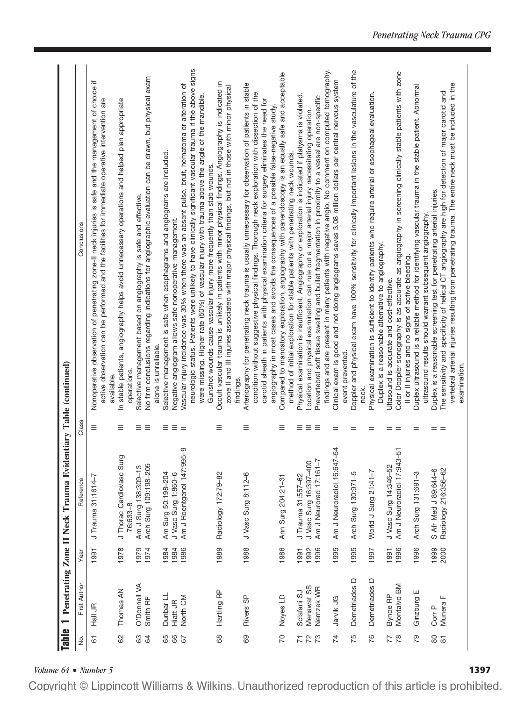| findings and are present in many patients with negative angio. No comment on computed tomography.<br>Color Doppler sonography is as accurate as angiography in screening clinically stable patients with zone<br>No firm conclusions regarding indications for angiographic evaluation can be drawn, but physical exam<br>Vascular injury incidence was 30% when there was an absent pulse, bruit, hematoma or alteration of<br>The sensitivity and specificity of helical CT angiography are high for detection of major carotid and<br>were missing. Higher rate (50%) of vascular injury with trauma above the angle of the mandible<br>Prevertebral soft tissue swelling and bullet fragmentation in proximity to a vessel are non-specific<br>angiography in most cases and avoids the consequences of a possible false-negative study.<br>Location and physical examination can rule out a major arterial injury necessitating operation.<br>Selective management is safe when esophagrams and angiograms are included<br>method of initial exploration for stable patients with penetrating neck wounds.<br>Gunshot wounds cause vascular injury more frequently than stab wounds.<br>Duplex is a reasonable screening test for penetrating arterial injuries.<br>Selective management based on angiography is safe and effective.<br>ultrasound results should warrant subsequent angiography.<br>Negative angiogram allows safe nonoperative management.<br>Duplex is a reasonable alternative to angiography.<br>Il or II injuries and no signs of active bleeding.<br>Ultasound is accurate and cost-effective.<br>alone is unreliable.<br>event prevented.<br>operations.<br>available.<br>findings.<br>neck.<br>≡<br>Ξ<br>Ξ.<br>$\equiv$<br>Ξ<br>$\equiv$<br>Ξ<br>Ξ<br>Ξ<br>Ξ<br>Ξ<br>Ξ<br>$=$<br>$=$<br>$=$<br>$=$<br>$=$<br>$=$<br>Ξ<br>$=$<br>$\equiv$<br>$-54$<br><u>ტ</u><br>$\frac{1}{2}$<br>ဇာ<br>J Thorac Cardiovasc Sur<br>Am J Roentgenol 147:99<br>J Vasc Surg 16:397-400<br>Am J Neurorad 17:161-7<br>Am J Neuroradiol 16:647<br>Am J Neuroradiol 17:943<br>Arch Surg 109:198-205<br>J Vasc Surg 14:346-52<br>Am J Surg 138:309-13<br>Radiology 216:356-62<br>S Afr Med J 89:644-6<br>World J Surg 21:41-7<br>Am Surg 50:198-204<br>Arch Surg 130:971-5<br>Arch Surg 131:691-3<br>J Vasc Surg 1:860-6<br>Radiology 172:79-82<br>J Vasc Surg 8:112-6<br>J Trauma 31:557-62<br>J Trauma 31:1614-7<br>Ann Surg 204:21-31<br>76:633-8<br>1988<br>1989<br>1995<br>1978<br>1986<br>1995<br>1996<br>1999<br>2000<br>1979<br>1974<br>1984<br>1986<br>1992<br>1996<br>1996<br>1984<br>1997<br>1991<br>1991<br>1991<br>Demetriades D<br>Demetriades D<br>O'Donnell VA<br>Montalvo BM<br>Menawat SS<br>Nemzek WR<br>Thomas AN<br>Hartling RP<br>Ginzburg E<br>Sclafani SJ<br>Dunbar LL<br>Bynoe RP<br>Rivers SP<br>Noyes LD<br>North CM<br>Munera F<br>Jarvik JG<br>Smith RF<br>Hiatt JR<br>Hall JR<br>Corr P<br>89<br>69<br>20<br>80<br>82<br>88<br>$\mathbb{Z}^2$<br>$\overline{7}$<br>75<br>76<br>77<br>PQ<br>8<br>$\mathfrak{A}$<br>67<br>72<br>$\overline{\infty}$<br>67 |        |              |      |           |       |                                                                                                                                                                                                                                                                                                                 |
|---------------------------------------------------------------------------------------------------------------------------------------------------------------------------------------------------------------------------------------------------------------------------------------------------------------------------------------------------------------------------------------------------------------------------------------------------------------------------------------------------------------------------------------------------------------------------------------------------------------------------------------------------------------------------------------------------------------------------------------------------------------------------------------------------------------------------------------------------------------------------------------------------------------------------------------------------------------------------------------------------------------------------------------------------------------------------------------------------------------------------------------------------------------------------------------------------------------------------------------------------------------------------------------------------------------------------------------------------------------------------------------------------------------------------------------------------------------------------------------------------------------------------------------------------------------------------------------------------------------------------------------------------------------------------------------------------------------------------------------------------------------------------------------------------------------------------------------------------------------------------------------------------------------------------------------------------------------------------------------------------------------------------------------------------------------------------------------------------------------------------------------------------------------------------------------------------------------------------------------------------------------------------------------------------------------------------------------------------------------------------------------------------------------------------------------------------------------------------------------------------------------------------------------------------------------------------------------------------------------------------------------------------------------------------------------------------------------------------------------------------------------------------------------------------------------------------------------------------------------------------------------------------------------------------------------------------------------------------------------------------------------------------------------------------------------------------------------------|--------|--------------|------|-----------|-------|-----------------------------------------------------------------------------------------------------------------------------------------------------------------------------------------------------------------------------------------------------------------------------------------------------------------|
|                                                                                                                                                                                                                                                                                                                                                                                                                                                                                                                                                                                                                                                                                                                                                                                                                                                                                                                                                                                                                                                                                                                                                                                                                                                                                                                                                                                                                                                                                                                                                                                                                                                                                                                                                                                                                                                                                                                                                                                                                                                                                                                                                                                                                                                                                                                                                                                                                                                                                                                                                                                                                                                                                                                                                                                                                                                                                                                                                                                                                                                                                             | .<br>2 | First Author | Year | Reference | Class | Conclusions                                                                                                                                                                                                                                                                                                     |
|                                                                                                                                                                                                                                                                                                                                                                                                                                                                                                                                                                                                                                                                                                                                                                                                                                                                                                                                                                                                                                                                                                                                                                                                                                                                                                                                                                                                                                                                                                                                                                                                                                                                                                                                                                                                                                                                                                                                                                                                                                                                                                                                                                                                                                                                                                                                                                                                                                                                                                                                                                                                                                                                                                                                                                                                                                                                                                                                                                                                                                                                                             |        |              |      |           |       | ≔<br>Nonoperative observation of penetrating zone-II neck injuries is safe and the management of choice<br>active observation can be performed and the facilities for immediate operative intervention are                                                                                                      |
|                                                                                                                                                                                                                                                                                                                                                                                                                                                                                                                                                                                                                                                                                                                                                                                                                                                                                                                                                                                                                                                                                                                                                                                                                                                                                                                                                                                                                                                                                                                                                                                                                                                                                                                                                                                                                                                                                                                                                                                                                                                                                                                                                                                                                                                                                                                                                                                                                                                                                                                                                                                                                                                                                                                                                                                                                                                                                                                                                                                                                                                                                             |        |              |      |           |       | In stable patients, angiography helps avoid unnecessary operations and helped plan appropriate                                                                                                                                                                                                                  |
|                                                                                                                                                                                                                                                                                                                                                                                                                                                                                                                                                                                                                                                                                                                                                                                                                                                                                                                                                                                                                                                                                                                                                                                                                                                                                                                                                                                                                                                                                                                                                                                                                                                                                                                                                                                                                                                                                                                                                                                                                                                                                                                                                                                                                                                                                                                                                                                                                                                                                                                                                                                                                                                                                                                                                                                                                                                                                                                                                                                                                                                                                             |        |              |      |           |       |                                                                                                                                                                                                                                                                                                                 |
|                                                                                                                                                                                                                                                                                                                                                                                                                                                                                                                                                                                                                                                                                                                                                                                                                                                                                                                                                                                                                                                                                                                                                                                                                                                                                                                                                                                                                                                                                                                                                                                                                                                                                                                                                                                                                                                                                                                                                                                                                                                                                                                                                                                                                                                                                                                                                                                                                                                                                                                                                                                                                                                                                                                                                                                                                                                                                                                                                                                                                                                                                             |        |              |      |           |       |                                                                                                                                                                                                                                                                                                                 |
|                                                                                                                                                                                                                                                                                                                                                                                                                                                                                                                                                                                                                                                                                                                                                                                                                                                                                                                                                                                                                                                                                                                                                                                                                                                                                                                                                                                                                                                                                                                                                                                                                                                                                                                                                                                                                                                                                                                                                                                                                                                                                                                                                                                                                                                                                                                                                                                                                                                                                                                                                                                                                                                                                                                                                                                                                                                                                                                                                                                                                                                                                             |        |              |      |           |       |                                                                                                                                                                                                                                                                                                                 |
|                                                                                                                                                                                                                                                                                                                                                                                                                                                                                                                                                                                                                                                                                                                                                                                                                                                                                                                                                                                                                                                                                                                                                                                                                                                                                                                                                                                                                                                                                                                                                                                                                                                                                                                                                                                                                                                                                                                                                                                                                                                                                                                                                                                                                                                                                                                                                                                                                                                                                                                                                                                                                                                                                                                                                                                                                                                                                                                                                                                                                                                                                             |        |              |      |           |       |                                                                                                                                                                                                                                                                                                                 |
|                                                                                                                                                                                                                                                                                                                                                                                                                                                                                                                                                                                                                                                                                                                                                                                                                                                                                                                                                                                                                                                                                                                                                                                                                                                                                                                                                                                                                                                                                                                                                                                                                                                                                                                                                                                                                                                                                                                                                                                                                                                                                                                                                                                                                                                                                                                                                                                                                                                                                                                                                                                                                                                                                                                                                                                                                                                                                                                                                                                                                                                                                             |        |              |      |           |       | neurologic status. Patients were unlikely to have clinically significant vascular trauma if the above signs                                                                                                                                                                                                     |
|                                                                                                                                                                                                                                                                                                                                                                                                                                                                                                                                                                                                                                                                                                                                                                                                                                                                                                                                                                                                                                                                                                                                                                                                                                                                                                                                                                                                                                                                                                                                                                                                                                                                                                                                                                                                                                                                                                                                                                                                                                                                                                                                                                                                                                                                                                                                                                                                                                                                                                                                                                                                                                                                                                                                                                                                                                                                                                                                                                                                                                                                                             |        |              |      |           |       |                                                                                                                                                                                                                                                                                                                 |
|                                                                                                                                                                                                                                                                                                                                                                                                                                                                                                                                                                                                                                                                                                                                                                                                                                                                                                                                                                                                                                                                                                                                                                                                                                                                                                                                                                                                                                                                                                                                                                                                                                                                                                                                                                                                                                                                                                                                                                                                                                                                                                                                                                                                                                                                                                                                                                                                                                                                                                                                                                                                                                                                                                                                                                                                                                                                                                                                                                                                                                                                                             |        |              |      |           |       | Occult vascular trauma is unlikely in patients with minor physical findings. Angiography is indicated in<br>zone II and III injuries associated with major physical findings, but not in those with minor physical                                                                                              |
|                                                                                                                                                                                                                                                                                                                                                                                                                                                                                                                                                                                                                                                                                                                                                                                                                                                                                                                                                                                                                                                                                                                                                                                                                                                                                                                                                                                                                                                                                                                                                                                                                                                                                                                                                                                                                                                                                                                                                                                                                                                                                                                                                                                                                                                                                                                                                                                                                                                                                                                                                                                                                                                                                                                                                                                                                                                                                                                                                                                                                                                                                             |        |              |      |           |       |                                                                                                                                                                                                                                                                                                                 |
|                                                                                                                                                                                                                                                                                                                                                                                                                                                                                                                                                                                                                                                                                                                                                                                                                                                                                                                                                                                                                                                                                                                                                                                                                                                                                                                                                                                                                                                                                                                                                                                                                                                                                                                                                                                                                                                                                                                                                                                                                                                                                                                                                                                                                                                                                                                                                                                                                                                                                                                                                                                                                                                                                                                                                                                                                                                                                                                                                                                                                                                                                             |        |              |      |           |       | Arteriography for penetrating neck trauma is usually unnecessary for observation of patients in stable<br>condition without suggestive physical findings. Thorough neck exploration with dissection of the<br>carotid sheath in patients with physical examination criteria for surgery eliminates the need for |
|                                                                                                                                                                                                                                                                                                                                                                                                                                                                                                                                                                                                                                                                                                                                                                                                                                                                                                                                                                                                                                                                                                                                                                                                                                                                                                                                                                                                                                                                                                                                                                                                                                                                                                                                                                                                                                                                                                                                                                                                                                                                                                                                                                                                                                                                                                                                                                                                                                                                                                                                                                                                                                                                                                                                                                                                                                                                                                                                                                                                                                                                                             |        |              |      |           |       | Compared to mandatory exploration, angiography with panendoscopy is an equally safe and acceptable                                                                                                                                                                                                              |
|                                                                                                                                                                                                                                                                                                                                                                                                                                                                                                                                                                                                                                                                                                                                                                                                                                                                                                                                                                                                                                                                                                                                                                                                                                                                                                                                                                                                                                                                                                                                                                                                                                                                                                                                                                                                                                                                                                                                                                                                                                                                                                                                                                                                                                                                                                                                                                                                                                                                                                                                                                                                                                                                                                                                                                                                                                                                                                                                                                                                                                                                                             |        |              |      |           |       | Physical examination is insufficient. Angiography or exploration is indicated if platysma is violated.                                                                                                                                                                                                          |
|                                                                                                                                                                                                                                                                                                                                                                                                                                                                                                                                                                                                                                                                                                                                                                                                                                                                                                                                                                                                                                                                                                                                                                                                                                                                                                                                                                                                                                                                                                                                                                                                                                                                                                                                                                                                                                                                                                                                                                                                                                                                                                                                                                                                                                                                                                                                                                                                                                                                                                                                                                                                                                                                                                                                                                                                                                                                                                                                                                                                                                                                                             |        |              |      |           |       |                                                                                                                                                                                                                                                                                                                 |
|                                                                                                                                                                                                                                                                                                                                                                                                                                                                                                                                                                                                                                                                                                                                                                                                                                                                                                                                                                                                                                                                                                                                                                                                                                                                                                                                                                                                                                                                                                                                                                                                                                                                                                                                                                                                                                                                                                                                                                                                                                                                                                                                                                                                                                                                                                                                                                                                                                                                                                                                                                                                                                                                                                                                                                                                                                                                                                                                                                                                                                                                                             |        |              |      |           |       |                                                                                                                                                                                                                                                                                                                 |
|                                                                                                                                                                                                                                                                                                                                                                                                                                                                                                                                                                                                                                                                                                                                                                                                                                                                                                                                                                                                                                                                                                                                                                                                                                                                                                                                                                                                                                                                                                                                                                                                                                                                                                                                                                                                                                                                                                                                                                                                                                                                                                                                                                                                                                                                                                                                                                                                                                                                                                                                                                                                                                                                                                                                                                                                                                                                                                                                                                                                                                                                                             |        |              |      |           |       | Clinical exam is good and not doing angiograms saves 3.08 million dollars per central nervous system                                                                                                                                                                                                            |
|                                                                                                                                                                                                                                                                                                                                                                                                                                                                                                                                                                                                                                                                                                                                                                                                                                                                                                                                                                                                                                                                                                                                                                                                                                                                                                                                                                                                                                                                                                                                                                                                                                                                                                                                                                                                                                                                                                                                                                                                                                                                                                                                                                                                                                                                                                                                                                                                                                                                                                                                                                                                                                                                                                                                                                                                                                                                                                                                                                                                                                                                                             |        |              |      |           |       | Doppler and physical exam have 100% sensitivity for clinically important lesions in the vasculature of the                                                                                                                                                                                                      |
|                                                                                                                                                                                                                                                                                                                                                                                                                                                                                                                                                                                                                                                                                                                                                                                                                                                                                                                                                                                                                                                                                                                                                                                                                                                                                                                                                                                                                                                                                                                                                                                                                                                                                                                                                                                                                                                                                                                                                                                                                                                                                                                                                                                                                                                                                                                                                                                                                                                                                                                                                                                                                                                                                                                                                                                                                                                                                                                                                                                                                                                                                             |        |              |      |           |       | Physical examination is sufficient to identify patients who require arterial or esophageal evaluation.                                                                                                                                                                                                          |
|                                                                                                                                                                                                                                                                                                                                                                                                                                                                                                                                                                                                                                                                                                                                                                                                                                                                                                                                                                                                                                                                                                                                                                                                                                                                                                                                                                                                                                                                                                                                                                                                                                                                                                                                                                                                                                                                                                                                                                                                                                                                                                                                                                                                                                                                                                                                                                                                                                                                                                                                                                                                                                                                                                                                                                                                                                                                                                                                                                                                                                                                                             |        |              |      |           |       |                                                                                                                                                                                                                                                                                                                 |
|                                                                                                                                                                                                                                                                                                                                                                                                                                                                                                                                                                                                                                                                                                                                                                                                                                                                                                                                                                                                                                                                                                                                                                                                                                                                                                                                                                                                                                                                                                                                                                                                                                                                                                                                                                                                                                                                                                                                                                                                                                                                                                                                                                                                                                                                                                                                                                                                                                                                                                                                                                                                                                                                                                                                                                                                                                                                                                                                                                                                                                                                                             |        |              |      |           |       |                                                                                                                                                                                                                                                                                                                 |
|                                                                                                                                                                                                                                                                                                                                                                                                                                                                                                                                                                                                                                                                                                                                                                                                                                                                                                                                                                                                                                                                                                                                                                                                                                                                                                                                                                                                                                                                                                                                                                                                                                                                                                                                                                                                                                                                                                                                                                                                                                                                                                                                                                                                                                                                                                                                                                                                                                                                                                                                                                                                                                                                                                                                                                                                                                                                                                                                                                                                                                                                                             |        |              |      |           |       |                                                                                                                                                                                                                                                                                                                 |
|                                                                                                                                                                                                                                                                                                                                                                                                                                                                                                                                                                                                                                                                                                                                                                                                                                                                                                                                                                                                                                                                                                                                                                                                                                                                                                                                                                                                                                                                                                                                                                                                                                                                                                                                                                                                                                                                                                                                                                                                                                                                                                                                                                                                                                                                                                                                                                                                                                                                                                                                                                                                                                                                                                                                                                                                                                                                                                                                                                                                                                                                                             |        |              |      |           |       | Duplex ultrasound is a reliable method for identifying vascular trauma in the stable patient. Abnormal                                                                                                                                                                                                          |
|                                                                                                                                                                                                                                                                                                                                                                                                                                                                                                                                                                                                                                                                                                                                                                                                                                                                                                                                                                                                                                                                                                                                                                                                                                                                                                                                                                                                                                                                                                                                                                                                                                                                                                                                                                                                                                                                                                                                                                                                                                                                                                                                                                                                                                                                                                                                                                                                                                                                                                                                                                                                                                                                                                                                                                                                                                                                                                                                                                                                                                                                                             |        |              |      |           |       |                                                                                                                                                                                                                                                                                                                 |
|                                                                                                                                                                                                                                                                                                                                                                                                                                                                                                                                                                                                                                                                                                                                                                                                                                                                                                                                                                                                                                                                                                                                                                                                                                                                                                                                                                                                                                                                                                                                                                                                                                                                                                                                                                                                                                                                                                                                                                                                                                                                                                                                                                                                                                                                                                                                                                                                                                                                                                                                                                                                                                                                                                                                                                                                                                                                                                                                                                                                                                                                                             |        |              |      |           |       |                                                                                                                                                                                                                                                                                                                 |
| examination.                                                                                                                                                                                                                                                                                                                                                                                                                                                                                                                                                                                                                                                                                                                                                                                                                                                                                                                                                                                                                                                                                                                                                                                                                                                                                                                                                                                                                                                                                                                                                                                                                                                                                                                                                                                                                                                                                                                                                                                                                                                                                                                                                                                                                                                                                                                                                                                                                                                                                                                                                                                                                                                                                                                                                                                                                                                                                                                                                                                                                                                                                |        |              |      |           |       | vertebral arterial injuries resulting from penetrating trauma. The entire neck must be included in the                                                                                                                                                                                                          |

*Volume 64* • *Number 5* **1397**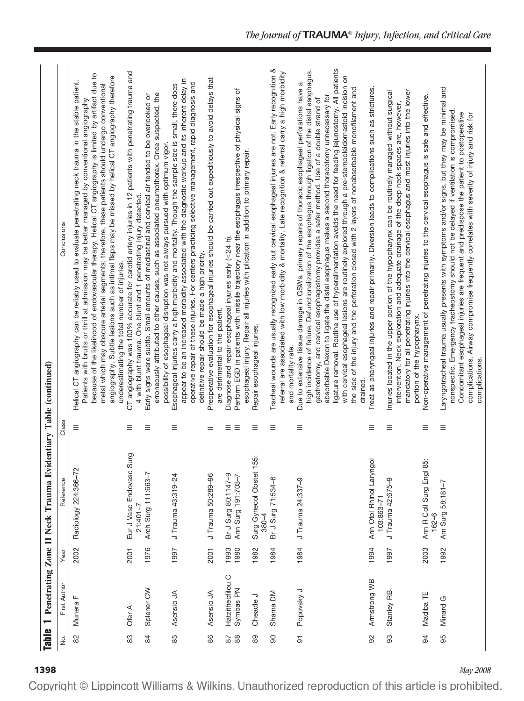| <b>Table</b>   | $\overline{\phantom{0}}$      |              | Penetrating Zone II Neck Trauma Evidentiary Table (continued) |               |                                                                                                                                                                                                                                                                                                                                                                                                                                                                                                                                                                                                                                                                                                                                                   |
|----------------|-------------------------------|--------------|---------------------------------------------------------------|---------------|---------------------------------------------------------------------------------------------------------------------------------------------------------------------------------------------------------------------------------------------------------------------------------------------------------------------------------------------------------------------------------------------------------------------------------------------------------------------------------------------------------------------------------------------------------------------------------------------------------------------------------------------------------------------------------------------------------------------------------------------------|
| ,<br>2         | First Author                  | Year         | Reference                                                     | Class         | Conclusions                                                                                                                                                                                                                                                                                                                                                                                                                                                                                                                                                                                                                                                                                                                                       |
| 82             | Munera F                      | 2002         | Radiology 224:366-72                                          | Ξ             | because of the likelihood of endovascular therapy. Helical CT angiography is limited by artifact due to<br>angiography. Subtle lesions such as intimal flaps may be missed by helical CT angiography therefore<br>Helical CT angiography can be reliably used to evaluate penetrating neck trauma in the stable patient.<br>metal which may obscure arterial segments; therefore, these patients should undergo conventional<br>Patients with bruits or thrill at admission may be better managed by conventional angiography<br>underestimating the total number of injuries.                                                                                                                                                                    |
| 83             | Ofer A                        | 2001         | Eur J Vasc Endovasc Surg<br>$21:401 - 7$                      | Ξ             | CT angiography was 100% accurate for carotid artery injuries in 12 patients with penetrating trauma and<br>4 with blunt trauma. One blunt and 1 penetrating injury detected.                                                                                                                                                                                                                                                                                                                                                                                                                                                                                                                                                                      |
| 84             | Splener CW                    | 1976         | Arch Surg 111:663-7                                           | $\equiv$      | erroneously attributed to other causes, such as associated pneumothorax. Once suspected, the<br>Early signs were subtle. Small amounts of mediastinal and cervical air tended to be overlooked or<br>possibility of esophageal disruption was not always pursued with optimum vigor.                                                                                                                                                                                                                                                                                                                                                                                                                                                              |
| 85             | Asensio JA                    | 1997         | J Trauma 43:319-24                                            | ≡             | appear to be an increased morbidity associated with the diagnostic workup and its inherent delay in<br>operative repair of these injuries. For centers practicing selective management, rapid diagnosis and<br>Esophageal injuries carry a high morbidity and mortality. Though the sample size is small, there does<br>definitive repair should be made a high priority.                                                                                                                                                                                                                                                                                                                                                                         |
| 86             | Asensio JA                    | 2001         | J Trauma 50:289-96                                            | $=$           | Preoperative evaluation for esophageal injuries should be carried out expeditiously to avoid delays that<br>are detrimental to the patient.                                                                                                                                                                                                                                                                                                                                                                                                                                                                                                                                                                                                       |
| 88<br>28       | Hatzitheofilou C<br>Symbas PN | 1980<br>1993 | Br J Surg 80:1147-9<br>Ann Surg 191:703-7                     | Ξ<br>$\equiv$ | Perform EGD in patients with missile trajectory near the esophagus irrespective of physical signs of<br>esophageal injury. Repair all injuries with plication in addition to primary repair.<br>Diagnose and repair esophageal injuries early (<24 h).                                                                                                                                                                                                                                                                                                                                                                                                                                                                                            |
| 89             | Cheadle J                     | 1982         | Surg Gynecol Obstet 155:<br>$380 - 4$                         | $\equiv$      | Repair esophageal injuries.                                                                                                                                                                                                                                                                                                                                                                                                                                                                                                                                                                                                                                                                                                                       |
| 8              | Shama DM                      | 1984         | Br J Surg 71:534-6                                            | $\equiv$      | Tracheal wounds are usually recognized early but cervical esophageal injuries are not. Early recognition &<br>referral are associated with low morbidity & mortality. Late recognition & referral carry a high morbidity<br>and mortality rate.                                                                                                                                                                                                                                                                                                                                                                                                                                                                                                   |
| $\overline{5}$ | Popovsky J                    | 1984         | J Trauma 24:337-9                                             | Ξ             | ligature removal. Routine use of hyperalimentation avoids the need for feeding jejunostomy. All patients<br>high incidence of failure. Defunctionalization of the esophagus through ligation of the distal esophagus,<br>with cervical esophageal lesions are routinely explored through a pre-sternocleidomastoid incision on<br>Due to extensive tissue damage in GSWs, primary repairs of thoracic esophageal perforations have a<br>the side of the injury and the perforation closed with 2 layers of nonabsorbable monofilament and<br>absorbable Dexon to ligate the distal esophagus makes a second thoracotomy unnecessary for<br>gastrostomy, and cervical esophagostomy provides a safer method. Use of a double strand of<br>drained. |
| 92             | Armstrong WB                  | 1994         | Ann Otol Rhinol Laryngol<br>103:863-71                        | $\equiv$      | Treat as pharyngeal injuries and repair primarily. Diversion leads to complications such as strictures.                                                                                                                                                                                                                                                                                                                                                                                                                                                                                                                                                                                                                                           |
| 93             | Stanley RB                    | 1997         | J Trauma 42:675-9                                             | $\equiv$      | mandatory for all penetrating injuries into the cervical esophagus and most injuries into the lower<br>hjuries located in the upper portion of the hypopharynx can be routinely managed without surgical<br>intervention. Neck exploration and adequate drainage of the deep neck spaces are, however,<br>portion of the hypopharynx.                                                                                                                                                                                                                                                                                                                                                                                                             |
| 94             | Madiba TE                     | 2003         | Ann R Coll Surg Engl 85:<br>$162 - 6$                         | Ξ             | Non-operative management of penetrating injuries to the cervical esophagus is safe and effective.                                                                                                                                                                                                                                                                                                                                                                                                                                                                                                                                                                                                                                                 |
| 95             | Minard G                      | 1992         | Am Surg 58:181-7                                              | $\equiv$      | Laryngotracheal trauma usually presents with symptoms and/or signs, but they may be minimal and<br>nonspecific. Emergency tracheostomy should not be delayed if ventilation is compromised.<br>Concomitant esophageal injuries are frequent and predispose the patient to postoperative<br>complications. Airway compromise frequently correlates with severity of injury and risk for<br>complications.                                                                                                                                                                                                                                                                                                                                          |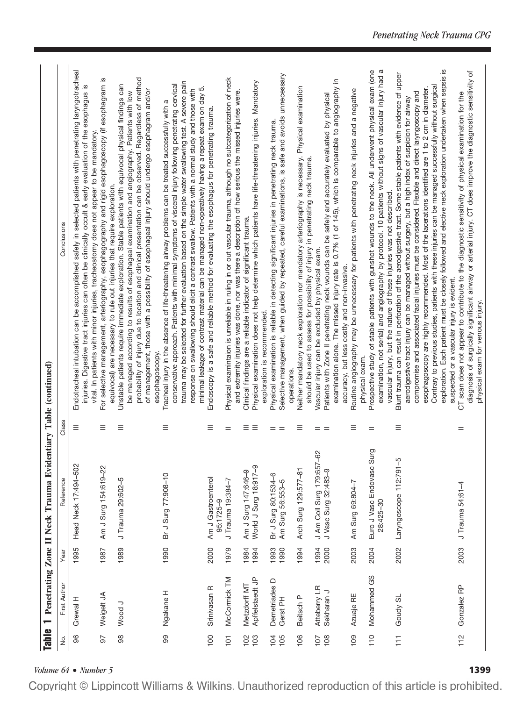| ż                | First Author                    | Year         | Reference                                             | Class                | Conclusions                                                                                                                                                                                                                                                                                                                                                                                                                                                                                                                                                                                                                                                 |
|------------------|---------------------------------|--------------|-------------------------------------------------------|----------------------|-------------------------------------------------------------------------------------------------------------------------------------------------------------------------------------------------------------------------------------------------------------------------------------------------------------------------------------------------------------------------------------------------------------------------------------------------------------------------------------------------------------------------------------------------------------------------------------------------------------------------------------------------------------|
| 96               | Grewal H                        | 1995         | Head Neck 17:494-502                                  | Ξ                    | Endotracheal intubation can be accomplished safely in selected patients with penetrating laryngotracheal<br>injuries. Digestive tract injuries can often be clinically occult & early evaluation of the esophagus is<br>vital. In patients with minor injuries, tracheostomy does not appear to be mandatory.                                                                                                                                                                                                                                                                                                                                               |
| 97               | Weigelt JA                      | 1987         | Am J Surg 154:619-22                                  | Ξ                    | For selective management, arteriography, esophagography and rigid esophagoscopy (if esophagram is<br>equivocal) are necessary to rule out injuries that require exploration.                                                                                                                                                                                                                                                                                                                                                                                                                                                                                |
| 88               | Wood J                          | 1989         | J Trauma 29:602-5                                     | Ξ                    | probability of injury due to location and clinical presentation can be observed. Regardless of method<br>Unstable patients require immediate exploration. Stable patients with equivocal physical findings can<br>of management, those with a possibility of esophageal injury should undergo esophagram and/or<br>be managed according to results of esophageal examination and angiography. Patients with low                                                                                                                                                                                                                                             |
| 8                | Ngakane H                       | 1990         | Br J Surg 77:908-10                                   | $\equiv$             | trauma may be selected for further evaluation based on the simple water swallowing test. A severe pain<br>conservative approach. Patients with minimal symptoms of visceral injury following penetrating cervical<br>minimal leakage of contrast material can be managed non-operatively having a repeat exam on day 5.<br>response on swallowing should elicit a contrast swallow. Patients with a normal study and those with<br>Tracheal injury in the absence of life-threatening airway problems can be treated successfully with a<br>esophagoscopy.                                                                                                  |
| 100              | Srinivasan R                    | 2000         | Am J Gastroenterol<br>95:1725-9                       | Ξ                    | Endoscopy is a safe and reliable method for evaluating the esophagus for penetrating trauma.                                                                                                                                                                                                                                                                                                                                                                                                                                                                                                                                                                |
| $\overline{5}$   | McCornick TM                    | 1979         | J Trauma 19:384-7                                     | $=$                  | Physical examintaion is unreliable in ruling in or out vascular trauma, although no subcategorization of neck<br>and extremity injuries was done, nor was there a description of how serious the missed injuries were.                                                                                                                                                                                                                                                                                                                                                                                                                                      |
| $\frac{5}{2}$    | Apffelstaedt JP<br>Metzdorff MT | 1984<br>1994 | World J Surg 18:917-9<br>Am J Surg 147:646-9          | $\equiv$<br>$\equiv$ | Physical examination does not help determine which patients have life-threatening injuries. Mandatory<br>Clinical findings are a reliable indicator of significant trauma.                                                                                                                                                                                                                                                                                                                                                                                                                                                                                  |
| $\frac{1}{2}$ is | Demetriades D<br>Gerst PH       | 1990<br>1993 | Br J Surg 80:1534-6<br>Am Surg 56:553-5               | $=$<br>$=$           | Selective management, when guided by repeated, careful examinations, is safe and avoids umnecessary<br>Physical examination is reliable in detecting significant injuries in penetrating neck trauma.<br>exploration is recommended.                                                                                                                                                                                                                                                                                                                                                                                                                        |
| 106              | Beitsch P                       | 1994         | Arch Surg 129:577-81                                  | $\equiv$             | Neither mandatory neck exploration nor mandatory arteriography is necessary. Physical examination<br>should be used to assess for possibility of injury in penetrating neck trauma.<br>operations.                                                                                                                                                                                                                                                                                                                                                                                                                                                          |
| 108<br>107       | Atteberry LR<br>Sekharan J      | 1994<br>2000 | မို<br>J Am Coll Surg 179:657<br>J Vasc Surg 32:483-9 | $=$ $=$              | examination alone. The missed injury rate is 0.7% (1 of 145), which is comparable to angiography in<br>Patients with Zone II penetrating neck wounds can be safely and accurately evaluated by physical<br>Vascular injury can be excluded by physical exam.<br>accuracy, but less costly and non-invasive.                                                                                                                                                                                                                                                                                                                                                 |
| 109              | Azuaje RE                       | 2003         | Am Surg 69:804-7                                      | $\equiv$             | Routine angiography may be unnecessary for patients with penetrating neck injuries and a negative<br>physical exam.                                                                                                                                                                                                                                                                                                                                                                                                                                                                                                                                         |
| 110              | Mohammed GS                     | 2004         | Euro J Vasc Endovasc Surg<br>28:425-30                | $=$                  | examination, not serial) and angiography by protocol. 10 patients without signs of vascular injury had a<br>Prospective study of stable patients with gunshot wounds to the neck. All underwent physical exam (one<br>vascular injury, but the nature of these injuries was not described.                                                                                                                                                                                                                                                                                                                                                                  |
| $\overline{11}$  | Goudy SL                        | 2002         | 5<br>Laryngoscope 112:791-                            | Ξ                    | exploration. Each patient must be closely followed and elective neck exploration undertaken when sepsis is<br>Blunt trauma can result in perforation of the aerodigestive tract. Some stable patients with evidence of upper<br>Contrary to previous studies, patients with these injuries can be managed successfully without surgical<br>esophagoscopy are highly recommended. Most of the lacerations identified are 1 to 2 cm in diameter.<br>compromise and associated facial injuries must be considered. Flexible and direct laryngoscopy and<br>aerodigestive tract injury can be managed without surgery, but a high index of suspicion for airway |
| 112              | Gonzalez RP                     | 2003         | J Trauma 54:61-4                                      | $=$                  | diagnosis of surgically significant airway or arterial injury. CT does improve the diagnostic sensitivity of<br>CT scan does not appear to contribute to the diagnostic sensitivity of physical examination for the<br>suspected or a vascular injury is evident.<br>physical exam for venous injury.                                                                                                                                                                                                                                                                                                                                                       |

*Volume 64* • *Number 5*<br>**Copyright** © Lippincott Williams & Wilkins. Unauthorized reproduction of this article is prohibited.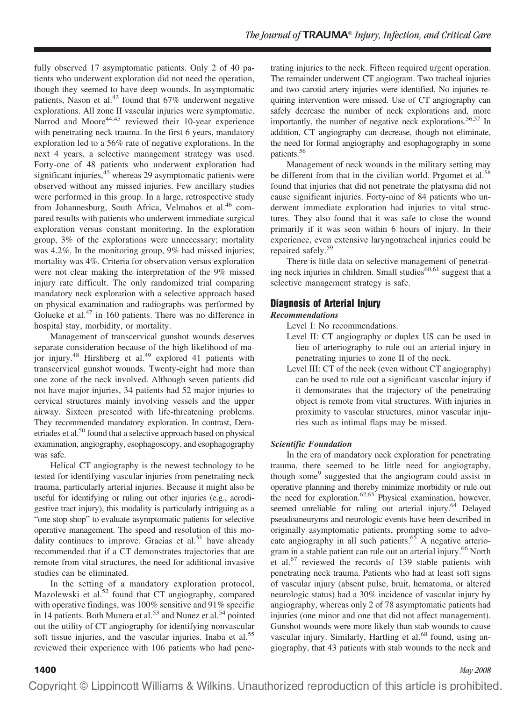fully observed 17 asymptomatic patients. Only 2 of 40 patients who underwent exploration did not need the operation, though they seemed to have deep wounds. In asymptomatic patients, Nason et al.<sup>43</sup> found that 67% underwent negative explorations. All zone II vascular injuries were symptomatic. Narrod and Moore<sup>44,45</sup> reviewed their 10-year experience with penetrating neck trauma. In the first 6 years, mandatory exploration led to a 56% rate of negative explorations. In the next 4 years, a selective management strategy was used. Forty-one of 48 patients who underwent exploration had significant injuries, $45$  whereas 29 asymptomatic patients were observed without any missed injuries. Few ancillary studies were performed in this group. In a large, retrospective study from Johannesburg, South Africa, Velmahos et al.<sup>46</sup> compared results with patients who underwent immediate surgical exploration versus constant monitoring. In the exploration group, 3% of the explorations were unnecessary; mortality was 4.2%. In the monitoring group, 9% had missed injuries; mortality was 4%. Criteria for observation versus exploration were not clear making the interpretation of the 9% missed injury rate difficult. The only randomized trial comparing mandatory neck exploration with a selective approach based on physical examination and radiographs was performed by Golueke et al.<sup>47</sup> in 160 patients. There was no difference in hospital stay, morbidity, or mortality.

Management of transcervical gunshot wounds deserves separate consideration because of the high likelihood of major injury.<sup>48</sup> Hirshberg et al.<sup>49</sup> explored 41 patients with transcervical gunshot wounds. Twenty-eight had more than one zone of the neck involved. Although seven patients did not have major injuries, 34 patients had 52 major injuries to cervical structures mainly involving vessels and the upper airway. Sixteen presented with life-threatening problems. They recommended mandatory exploration. In contrast, Demetriades et al.50 found that a selective approach based on physical examination, angiography, esophagoscopy, and esophagography was safe.

Helical CT angiography is the newest technology to be tested for identifying vascular injuries from penetrating neck trauma, particularly arterial injuries. Because it might also be useful for identifying or ruling out other injuries (e.g., aerodigestive tract injury), this modality is particularly intriguing as a "one stop shop" to evaluate asymptomatic patients for selective operative management. The speed and resolution of this modality continues to improve. Gracias et al.<sup>51</sup> have already recommended that if a CT demonstrates trajectories that are remote from vital structures, the need for additional invasive studies can be eliminated.

In the setting of a mandatory exploration protocol, Mazolewski et al.<sup>52</sup> found that CT angiography, compared with operative findings, was 100% sensitive and 91% specific in 14 patients. Both Munera et al.<sup>53</sup> and Nunez et al.<sup>54</sup> pointed out the utility of CT angiography for identifying nonvascular soft tissue injuries, and the vascular injuries. Inaba et al.<sup>55</sup> reviewed their experience with 106 patients who had pene-

trating injuries to the neck. Fifteen required urgent operation. The remainder underwent CT angiogram. Two tracheal injuries and two carotid artery injuries were identified. No injuries requiring intervention were missed. Use of CT angiography can safely decrease the number of neck explorations and, more importantly, the number of negative neck explorations.<sup>56,57</sup> In addition, CT angiography can decrease, though not eliminate, the need for formal angiography and esophagography in some patients.56

Management of neck wounds in the military setting may be different from that in the civilian world. Prgomet et al.<sup>58</sup> found that injuries that did not penetrate the platysma did not cause significant injuries. Forty-nine of 84 patients who underwent immediate exploration had injuries to vital structures. They also found that it was safe to close the wound primarily if it was seen within 6 hours of injury. In their experience, even extensive laryngotracheal injuries could be repaired safely.<sup>59</sup>

There is little data on selective management of penetrating neck injuries in children. Small studies $60,61$  suggest that a selective management strategy is safe.

# **Diagnosis of Arterial Injury**

#### *Recommendations*

Level I: No recommendations.

- Level II: CT angiography or duplex US can be used in lieu of arteriography to rule out an arterial injury in penetrating injuries to zone II of the neck.
- Level III: CT of the neck (even without CT angiography) can be used to rule out a significant vascular injury if it demonstrates that the trajectory of the penetrating object is remote from vital structures. With injuries in proximity to vascular structures, minor vascular injuries such as intimal flaps may be missed.

### *Scientific Foundation*

In the era of mandatory neck exploration for penetrating trauma, there seemed to be little need for angiography, though some<sup>9</sup> suggested that the angiogram could assist in operative planning and thereby minimize morbidity or rule out the need for exploration. $62,63$  Physical examination, however, seemed unreliable for ruling out arterial injury.<sup>64</sup> Delayed pseudoaneuryms and neurologic events have been described in originally asymptomatic patients, prompting some to advocate angiography in all such patients.<sup>65</sup> A negative arteriogram in a stable patient can rule out an arterial injury.66 North et al.67 reviewed the records of 139 stable patients with penetrating neck trauma. Patients who had at least soft signs of vascular injury (absent pulse, bruit, hematoma, or altered neurologic status) had a 30% incidence of vascular injury by angiography, whereas only 2 of 78 asymptomatic patients had injuries (one minor and one that did not affect management). Gunshot wounds were more likely than stab wounds to cause vascular injury. Similarly, Hartling et al.<sup>68</sup> found, using angiography, that 43 patients with stab wounds to the neck and

#### **1400** *May 2008*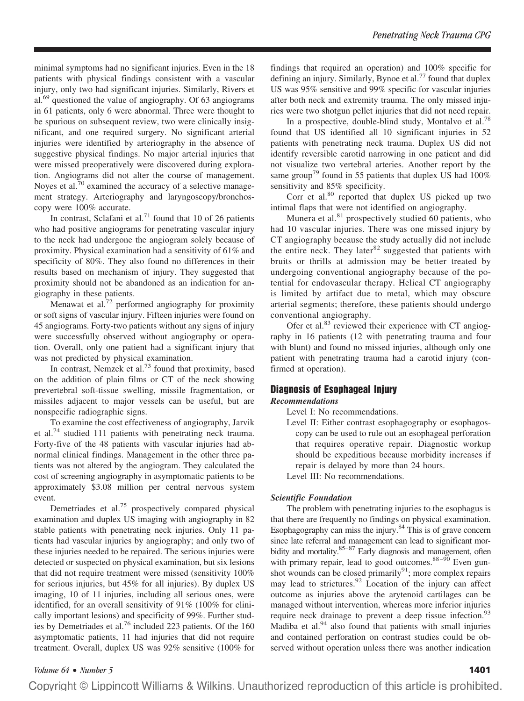minimal symptoms had no significant injuries. Even in the 18 patients with physical findings consistent with a vascular injury, only two had significant injuries. Similarly, Rivers et al.69 questioned the value of angiography. Of 63 angiograms in 61 patients, only 6 were abnormal. Three were thought to be spurious on subsequent review, two were clinically insignificant, and one required surgery. No significant arterial injuries were identified by arteriography in the absence of suggestive physical findings. No major arterial injuries that were missed preoperatively were discovered during exploration. Angiograms did not alter the course of management. Noyes et al.<sup>70</sup> examined the accuracy of a selective management strategy. Arteriography and laryngoscopy/bronchoscopy were 100% accurate.

In contrast, Sclafani et al.<sup>71</sup> found that 10 of 26 patients who had positive angiograms for penetrating vascular injury to the neck had undergone the angiogram solely because of proximity. Physical examination had a sensitivity of 61% and specificity of 80%. They also found no differences in their results based on mechanism of injury. They suggested that proximity should not be abandoned as an indication for angiography in these patients.

Menawat et al. $72$  performed angiography for proximity or soft signs of vascular injury. Fifteen injuries were found on 45 angiograms. Forty-two patients without any signs of injury were successfully observed without angiography or operation. Overall, only one patient had a significant injury that was not predicted by physical examination.

In contrast, Nemzek et al.<sup>73</sup> found that proximity, based on the addition of plain films or CT of the neck showing prevertebral soft-tissue swelling, missile fragmentation, or missiles adjacent to major vessels can be useful, but are nonspecific radiographic signs.

To examine the cost effectiveness of angiography, Jarvik et al.74 studied 111 patients with penetrating neck trauma. Forty-five of the 48 patients with vascular injuries had abnormal clinical findings. Management in the other three patients was not altered by the angiogram. They calculated the cost of screening angiography in asymptomatic patients to be approximately \$3.08 million per central nervous system event.

Demetriades et al.<sup>75</sup> prospectively compared physical examination and duplex US imaging with angiography in 82 stable patients with penetrating neck injuries. Only 11 patients had vascular injuries by angiography; and only two of these injuries needed to be repaired. The serious injuries were detected or suspected on physical examination, but six lesions that did not require treatment were missed (sensitivity 100% for serious injuries, but 45% for all injuries). By duplex US imaging, 10 of 11 injuries, including all serious ones, were identified, for an overall sensitivity of 91% (100% for clinically important lesions) and specificity of 99%. Further studies by Demetriades et al.76 included 223 patients. Of the 160 asymptomatic patients, 11 had injuries that did not require treatment. Overall, duplex US was 92% sensitive (100% for findings that required an operation) and 100% specific for defining an injury. Similarly, Bynoe et al.<sup>77</sup> found that duplex US was 95% sensitive and 99% specific for vascular injuries after both neck and extremity trauma. The only missed injuries were two shotgun pellet injuries that did not need repair.

In a prospective, double-blind study, Montalvo et al.<sup>78</sup> found that US identified all 10 significant injuries in 52 patients with penetrating neck trauma. Duplex US did not identify reversible carotid narrowing in one patient and did not visualize two vertebral arteries. Another report by the same group<sup>79</sup> found in 55 patients that duplex US had  $100\%$ sensitivity and 85% specificity.

Corr et al.<sup>80</sup> reported that duplex US picked up two intimal flaps that were not identified on angiography.

Munera et al. $81$  prospectively studied 60 patients, who had 10 vascular injuries. There was one missed injury by CT angiography because the study actually did not include the entire neck. They later<sup>82</sup> suggested that patients with bruits or thrills at admission may be better treated by undergoing conventional angiography because of the potential for endovascular therapy. Helical CT angiography is limited by artifact due to metal, which may obscure arterial segments; therefore, these patients should undergo conventional angiography.

Ofer et al.<sup>83</sup> reviewed their experience with CT angiography in 16 patients (12 with penetrating trauma and four with blunt) and found no missed injuries, although only one patient with penetrating trauma had a carotid injury (confirmed at operation).

# **Diagnosis of Esophageal Injury**

#### *Recommendations*

Level I: No recommendations.

Level II: Either contrast esophagography or esophagoscopy can be used to rule out an esophageal perforation that requires operative repair. Diagnostic workup should be expeditious because morbidity increases if repair is delayed by more than 24 hours.

Level III: No recommendations.

#### *Scientific Foundation*

The problem with penetrating injuries to the esophagus is that there are frequently no findings on physical examination. Esophagography can miss the injury. $84$  This is of grave concern since late referral and management can lead to significant morbidity and mortality.<sup>85–87</sup> Early diagnosis and management, often with primary repair, lead to good outcomes. $88-90$  Even gunshot wounds can be closed primarily<sup>91</sup>; more complex repairs may lead to strictures.<sup>92</sup> Location of the injury can affect outcome as injuries above the arytenoid cartilages can be managed without intervention, whereas more inferior injuries require neck drainage to prevent a deep tissue infection.<sup>93</sup> Madiba et al. $94$  also found that patients with small injuries and contained perforation on contrast studies could be observed without operation unless there was another indication

*Volume 64* • *Number 5* **1401**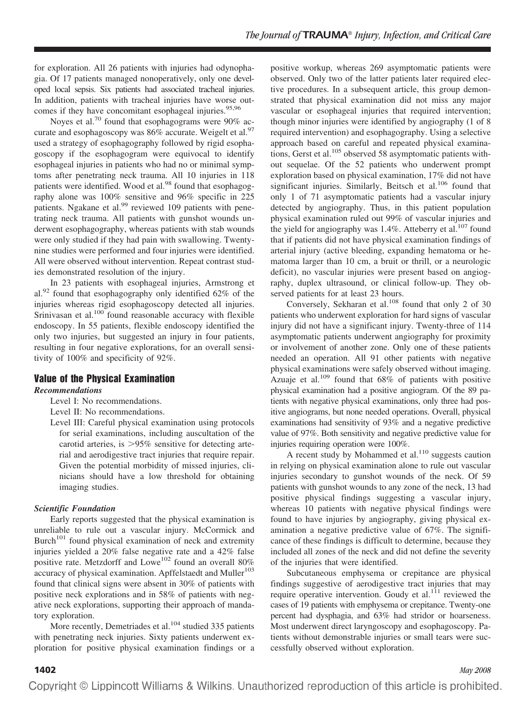for exploration. All 26 patients with injuries had odynophagia. Of 17 patients managed nonoperatively, only one developed local sepsis. Six patients had associated tracheal injuries. In addition, patients with tracheal injuries have worse outcomes if they have concomitant esophageal injuries. $95,96$ 

Noyes et al.<sup>70</sup> found that esophagograms were  $90\%$  accurate and esophagoscopy was  $86\%$  accurate. Weigelt et al.<sup>97</sup> used a strategy of esophagography followed by rigid esophagoscopy if the esophagogram were equivocal to identify esophageal injuries in patients who had no or minimal symptoms after penetrating neck trauma. All 10 injuries in 118 patients were identified. Wood et al.<sup>98</sup> found that esophagography alone was 100% sensitive and 96% specific in 225 patients. Ngakane et al.<sup>99</sup> reviewed 109 patients with penetrating neck trauma. All patients with gunshot wounds underwent esophagography, whereas patients with stab wounds were only studied if they had pain with swallowing. Twentynine studies were performed and four injuries were identified. All were observed without intervention. Repeat contrast studies demonstrated resolution of the injury.

In 23 patients with esophageal injuries, Armstrong et al.<sup>92</sup> found that esophagography only identified  $62\%$  of the injuries whereas rigid esophagoscopy detected all injuries. Srinivasan et al.<sup>100</sup> found reasonable accuracy with flexible endoscopy. In 55 patients, flexible endoscopy identified the only two injuries, but suggested an injury in four patients, resulting in four negative explorations, for an overall sensitivity of 100% and specificity of 92%.

### **Value of the Physical Examination**

#### *Recommendations*

- Level I: No recommendations.
- Level II: No recommendations.
- Level III: Careful physical examination using protocols for serial examinations, including auscultation of the carotid arteries, is  $>95\%$  sensitive for detecting arterial and aerodigestive tract injuries that require repair. Given the potential morbidity of missed injuries, clinicians should have a low threshold for obtaining imaging studies.

### *Scientific Foundation*

Early reports suggested that the physical examination is unreliable to rule out a vascular injury. McCormick and Burch<sup>101</sup> found physical examination of neck and extremity injuries yielded a 20% false negative rate and a 42% false positive rate. Metzdorff and Lowe<sup>102</sup> found an overall 80% accuracy of physical examination. Apffelstaedt and Muller $103$ found that clinical signs were absent in 30% of patients with positive neck explorations and in 58% of patients with negative neck explorations, supporting their approach of mandatory exploration.

More recently, Demetriades et al.<sup>104</sup> studied 335 patients with penetrating neck injuries. Sixty patients underwent exploration for positive physical examination findings or a positive workup, whereas 269 asymptomatic patients were observed. Only two of the latter patients later required elective procedures. In a subsequent article, this group demonstrated that physical examination did not miss any major vascular or esophageal injuries that required intervention; though minor injuries were identified by angiography (1 of 8 required intervention) and esophagography. Using a selective approach based on careful and repeated physical examinations, Gerst et al.<sup>105</sup> observed 58 asymptomatic patients without sequelae. Of the 52 patients who underwent prompt exploration based on physical examination, 17% did not have significant injuries. Similarly, Beitsch et al.<sup>106</sup> found that only 1 of 71 asymptomatic patients had a vascular injury detected by angiography. Thus, in this patient population physical examination ruled out 99% of vascular injuries and the yield for angiography was  $1.4\%$ . Atteberry et al.<sup>107</sup> found that if patients did not have physical examination findings of arterial injury (active bleeding, expanding hematoma or hematoma larger than 10 cm, a bruit or thrill, or a neurologic deficit), no vascular injuries were present based on angiography, duplex ultrasound, or clinical follow-up. They observed patients for at least 23 hours.

Conversely, Sekharan et al.<sup>108</sup> found that only 2 of 30 patients who underwent exploration for hard signs of vascular injury did not have a significant injury. Twenty-three of 114 asymptomatic patients underwent angiography for proximity or involvement of another zone. Only one of these patients needed an operation. All 91 other patients with negative physical examinations were safely observed without imaging. Azuaje et al.<sup>109</sup> found that  $68\%$  of patients with positive physical examination had a positive angiogram. Of the 89 patients with negative physical examinations, only three had positive angiograms, but none needed operations. Overall, physical examinations had sensitivity of 93% and a negative predictive value of 97%. Both sensitivity and negative predictive value for injuries requiring operation were 100%.

A recent study by Mohammed et al. $110$  suggests caution in relying on physical examination alone to rule out vascular injuries secondary to gunshot wounds of the neck. Of 59 patients with gunshot wounds to any zone of the neck, 13 had positive physical findings suggesting a vascular injury, whereas 10 patients with negative physical findings were found to have injuries by angiography, giving physical examination a negative predictive value of 67%. The significance of these findings is difficult to determine, because they included all zones of the neck and did not define the severity of the injuries that were identified.

Subcutaneous emphysema or crepitance are physical findings suggestive of aerodigestive tract injuries that may require operative intervention. Goudy et al. $^{111}$  reviewed the cases of 19 patients with emphysema or crepitance. Twenty-one percent had dysphagia, and 63% had stridor or hoarseness. Most underwent direct laryngoscopy and esophagoscopy. Patients without demonstrable injuries or small tears were successfully observed without exploration.

**1402** *May 2008*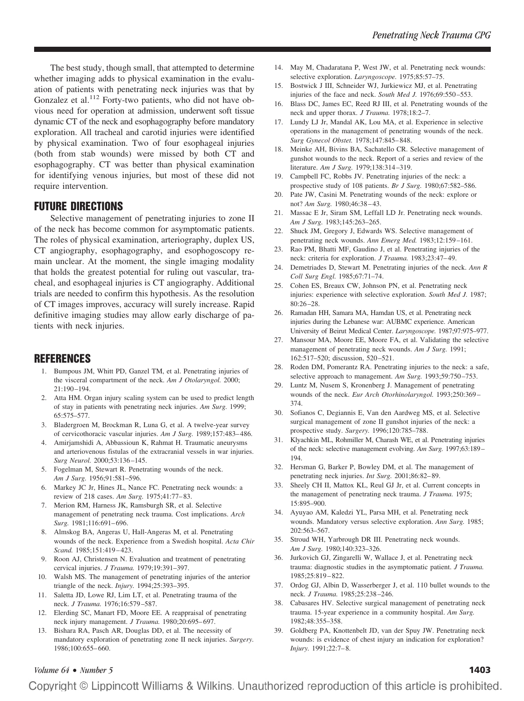The best study, though small, that attempted to determine whether imaging adds to physical examination in the evaluation of patients with penetrating neck injuries was that by Gonzalez et al.<sup>112</sup> Forty-two patients, who did not have obvious need for operation at admission, underwent soft tissue dynamic CT of the neck and esophagography before mandatory exploration. All tracheal and carotid injuries were identified by physical examination. Two of four esophageal injuries (both from stab wounds) were missed by both CT and esophagography. CT was better than physical examination for identifying venous injuries, but most of these did not require intervention.

# **FUTURE DIRECTIONS**

Selective management of penetrating injuries to zone II of the neck has become common for asymptomatic patients. The roles of physical examination, arteriography, duplex US, CT angiography, esophagography, and esophogoscopy remain unclear. At the moment, the single imaging modality that holds the greatest potential for ruling out vascular, tracheal, and esophageal injuries is CT angiography. Additional trials are needed to confirm this hypothesis. As the resolution of CT images improves, accuracy will surely increase. Rapid definitive imaging studies may allow early discharge of patients with neck injuries.

# **REFERENCES**

- 1. Bumpous JM, Whitt PD, Ganzel TM, et al. Penetrating injuries of the visceral compartment of the neck. *Am J Otolaryngol.* 2000; 21:190 –194.
- 2. Atta HM. Organ injury scaling system can be used to predict length of stay in patients with penetrating neck injuries. *Am Surg.* 1999; 65:575–577.
- 3. Bladergroen M, Brockman R, Luna G, et al. A twelve-year survey of cervicothoracic vascular injuries. *Am J Surg.* 1989;157:483– 486.
- 4. Amirjamshidi A, Abbassioun K, Rahmat H. Traumatic aneurysms and arteriovenous fistulas of the extracranial vessels in war injuries. *Surg Neurol.* 2000;53:136 –145.
- 5. Fogelman M, Stewart R. Penetrating wounds of the neck. *Am J Surg.* 1956;91:581–596.
- 6. Markey JC Jr, Hines JL, Nance FC. Penetrating neck wounds: a review of 218 cases. *Am Surg.* 1975;41:77– 83.
- 7. Merion RM, Harness JK, Ramsburgh SR, et al. Selective management of penetrating neck trauma. Cost implications. *Arch Surg.* 1981;116:691– 696.
- 8. Almskog BA, Angeras U, Hall-Angeras M, et al. Penetrating wounds of the neck. Experience from a Swedish hospital. *Acta Chir Scand.* 1985;151:419 – 423.
- 9. Roon AJ, Christensen N. Evaluation and treatment of penetrating cervical injuries. *J Trauma.* 1979;19:391–397.
- 10. Walsh MS. The management of penetrating injuries of the anterior triangle of the neck. *Injury.* 1994;25:393–395.
- 11. Saletta JD, Lowe RJ, Lim LT, et al. Penetrating trauma of the neck. *J Trauma.* 1976;16:579 –587.
- 12. Elerding SC, Manart FD, Moore EE. A reappraisal of penetrating neck injury management. *J Trauma*. 1980;20:695–697.
- 13. Bishara RA, Pasch AR, Douglas DD, et al. The necessity of mandatory exploration of penetrating zone II neck injuries. *Surgery.* 1986;100:655– 660.
- 14. May M, Chadaratana P, West JW, et al. Penetrating neck wounds: selective exploration. *Laryngoscope.* 1975;85:57–75.
- 15. Bostwick J III, Schneider WJ, Jurkiewicz MJ, et al. Penetrating injuries of the face and neck. *South Med J.* 1976;69:550 –553.
- 16. Blass DC, James EC, Reed RJ III, et al. Penetrating wounds of the neck and upper thorax. *J Trauma.* 1978;18:2–7.
- 17. Lundy LJ Jr, Mandal AK, Lou MA, et al. Experience in selective operations in the management of penetrating wounds of the neck. *Surg Gynecol Obstet.* 1978;147:845– 848.
- 18. Meinke AH, Bivins BA, Sachatello CR. Selective management of gunshot wounds to the neck. Report of a series and review of the literature. *Am J Surg.* 1979;138:314 –319.
- 19. Campbell FC, Robbs JV. Penetrating injuries of the neck: a prospective study of 108 patients. *Br J Surg.* 1980;67:582–586.
- 20. Pate JW, Casini M. Penetrating wounds of the neck: explore or not? *Am Surg.* 1980;46:38 – 43.
- 21. Massac E Jr, Siram SM, Leffall LD Jr. Penetrating neck wounds. *Am J Surg.* 1983;145:263–265.
- 22. Shuck JM, Gregory J, Edwards WS. Selective management of penetrating neck wounds. *Ann Emerg Med.* 1983;12:159 –161.
- 23. Rao PM, Bhatti MF, Gaudino J, et al. Penetrating injuries of the neck: criteria for exploration. *J Trauma.* 1983;23:47– 49.
- 24. Demetriades D, Stewart M. Penetrating injuries of the neck. *Ann R Coll Surg Engl.* 1985;67:71–74.
- 25. Cohen ES, Breaux CW, Johnson PN, et al. Penetrating neck injuries: experience with selective exploration. *South Med J.* 1987; 80:26 –28.
- 26. Ramadan HH, Samara MA, Hamdan US, et al. Penetrating neck injuries during the Lebanese war: AUBMC experience. American University of Beirut Medical Center. *Laryngoscope.* 1987;97:975–977.
- 27. Mansour MA, Moore EE, Moore FA, et al. Validating the selective management of penetrating neck wounds. *Am J Surg.* 1991; 162:517–520; discussion, 520 –521.
- 28. Roden DM, Pomerantz RA. Penetrating injuries to the neck: a safe, selective approach to management. *Am Surg.* 1993;59:750 –753.
- 29. Luntz M, Nusem S, Kronenberg J. Management of penetrating wounds of the neck. *Eur Arch Otorhinolaryngol.* 1993;250:369 – 374.
- 30. Sofianos C, Degiannis E, Van den Aardweg MS, et al. Selective surgical management of zone II gunshot injuries of the neck: a prospective study. *Surgery.* 1996;120:785–788.
- 31. Klyachkin ML, Rohmiller M, Charash WE, et al. Penetrating injuries of the neck: selective management evolving. *Am Surg.* 1997;63:189 – 194.
- 32. Hersman G, Barker P, Bowley DM, et al. The management of penetrating neck injuries. *Int Surg.* 2001;86:82– 89.
- 33. Sheely CH II, Mattox KL, Reul GJ Jr, et al. Current concepts in the management of penetrating neck trauma. *J Trauma.* 1975; 15:895–900.
- 34. Ayuyao AM, Kaledzi YL, Parsa MH, et al. Penetrating neck wounds. Mandatory versus selective exploration. *Ann Surg.* 1985; 202:563–567.
- 35. Stroud WH, Yarbrough DR III. Penetrating neck wounds. *Am J Surg.* 1980;140:323–326.
- 36. Jurkovich GJ, Zingarelli W, Wallace J, et al. Penetrating neck trauma: diagnostic studies in the asymptomatic patient. *J Trauma.* 1985;25:819 – 822.
- 37. Ordog GJ, Albin D, Wasserberger J, et al. 110 bullet wounds to the neck. *J Trauma.* 1985;25:238 –246.
- 38. Cabasares HV. Selective surgical management of penetrating neck trauma. 15-year experience in a community hospital. *Am Surg.* 1982;48:355–358.
- 39. Goldberg PA, Knottenbelt JD, van der Spuy JW. Penetrating neck wounds: is evidence of chest injury an indication for exploration? *Injury.* 1991;22:7– 8.

#### *Volume 64* • *Number 5* **1403**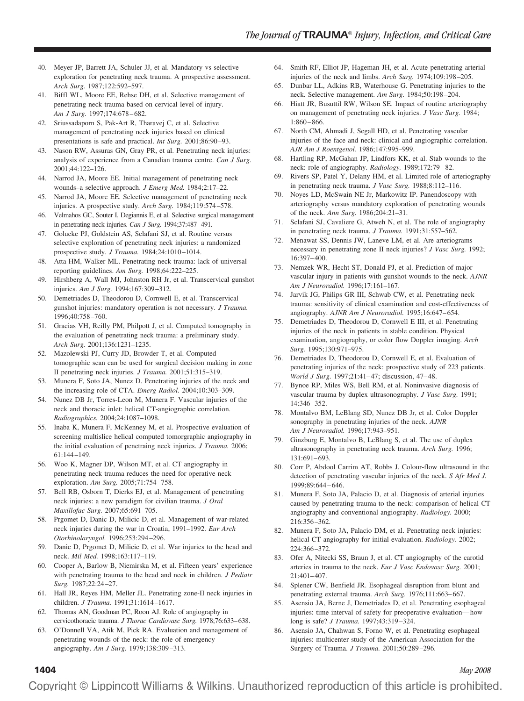- 40. Meyer JP, Barrett JA, Schuler JJ, et al. Mandatory vs selective exploration for penetrating neck trauma. A prospective assessment. *Arch Surg.* 1987;122:592–597.
- 41. Biffl WL, Moore EE, Rehse DH, et al. Selective management of penetrating neck trauma based on cervical level of injury. *Am J Surg.* 1997;174:678 – 682.
- 42. Sriussadaporn S, Pak-Art R, Tharavej C, et al. Selective management of penetrating neck injuries based on clinical presentations is safe and practical. *Int Surg.* 2001;86:90 –93.
- 43. Nason RW, Assuras GN, Gray PR, et al. Penetrating neck injuries: analysis of experience from a Canadian trauma centre. *Can J Surg.* 2001;44:122–126.
- 44. Narrod JA, Moore EE. Initial management of penetrating neck wounds–a selective approach. *J Emerg Med.* 1984;2:17–22.
- 45. Narrod JA, Moore EE. Selective management of penetrating neck injuries. A prospective study. *Arch Surg.* 1984;119:574 –578.
- 46. Velmahos GC, Souter I, Degiannis E, et al. Selective surgical management in penetrating neck injuries. *Can J Surg.* 1994;37:487–491.
- 47. Golueke PJ, Goldstein AS, Sclafani SJ, et al. Routine versus selective exploration of penetrating neck injuries: a randomized prospective study. *J Trauma.* 1984;24:1010 –1014.
- 48. Atta HM, Walker ML. Penetrating neck trauma: lack of universal reporting guidelines. *Am Surg.* 1998;64:222–225.
- 49. Hirshberg A, Wall MJ, Johnston RH Jr, et al. Transcervical gunshot injuries. *Am J Surg.* 1994;167:309 –312.
- 50. Demetriades D, Theodorou D, Cornwell E, et al. Transcervical gunshot injuries: mandatory operation is not necessary. *J Trauma.* 1996;40:758 –760.
- 51. Gracias VH, Reilly PM, Philpott J, et al. Computed tomography in the evaluation of penetrating neck trauma: a preliminary study. *Arch Surg.* 2001;136:1231–1235.
- 52. Mazolewski PJ, Curry JD, Browder T, et al. Computed tomographic scan can be used for surgical decision making in zone II penetrating neck injuries. *J Trauma.* 2001;51:315–319.
- 53. Munera F, Soto JA, Nunez D. Penetrating injuries of the neck and the increasing role of CTA. *Emerg Radiol.* 2004;10:303–309.
- 54. Nunez DB Jr, Torres-Leon M, Munera F. Vascular injuries of the neck and thoracic inlet: helical CT-angiographic correlation. *Radiographics.* 2004;24:1087–1098.
- 55. Inaba K, Munera F, McKenney M, et al. Prospective evaluation of screening multislice helical computed tomorgraphic angiography in the initial evaluation of penetraing neck injuries. *J Trauma.* 2006; 61:144 –149.
- 56. Woo K, Magner DP, Wilson MT, et al. CT angiography in penetrating neck trauma reduces the need for operative neck exploration. *Am Surg.* 2005;71:754 –758.
- 57. Bell RB, Osborn T, Dierks EJ, et al. Management of penetrating neck injuries: a new paradigm for civilian trauma. *J Oral Maxillofac Surg.* 2007;65:691–705.
- 58. Prgomet D, Danic D, Milicic D, et al. Management of war-related neck injuries during the war in Croatia, 1991–1992. *Eur Arch Otorhinolaryngol.* 1996;253:294 –296.
- 59. Danic D, Prgomet D, Milicic D, et al. War injuries to the head and neck. *Mil Med.* 1998;163:117–119.
- 60. Cooper A, Barlow B, Niemirska M, et al. Fifteen years' experience with penetrating trauma to the head and neck in children. *J Pediatr Surg.* 1987;22:24 –27.
- 61. Hall JR, Reyes HM, Meller JL. Penetrating zone-II neck injuries in children. *J Trauma.* 1991;31:1614 –1617.
- 62. Thomas AN, Goodman PC, Roon AJ. Role of angiography in cervicothoracic trauma. *J Thorac Cardiovasc Surg.* 1978;76:633– 638.
- 63. O'Donnell VA, Atik M, Pick RA. Evaluation and management of penetrating wounds of the neck: the role of emergency angiography. *Am J Surg.* 1979;138:309 –313.
- 64. Smith RF, Elliot JP, Hageman JH, et al. Acute penetrating arterial injuries of the neck and limbs. *Arch Surg.* 1974;109:198 –205.
- 65. Dunbar LL, Adkins RB, Waterhouse G. Penetrating injuries to the neck. Selective management. *Am Surg.* 1984;50:198 –204.
- 66. Hiatt JR, Busuttil RW, Wilson SE. Impact of routine arteriography on management of penetrating neck injuries. *J Vasc Surg.* 1984; 1:860 – 866.
- 67. North CM, Ahmadi J, Segall HD, et al. Penetrating vascular injuries of the face and neck: clinical and angiographic correlation. *AJR Am J Roentgenol.* 1986;147:995–999.
- 68. Hartling RP, McGahan JP, Lindfors KK, et al. Stab wounds to the neck: role of angiography. *Radiology.* 1989;172:79 – 82.
- 69. Rivers SP, Patel Y, Delany HM, et al. Limited role of arteriography in penetrating neck trauma. *J Vasc Surg.* 1988;8:112–116.
- 70. Noyes LD, McSwain NE Jr, Markowitz IP. Panendoscopy with arteriography versus mandatory exploration of penetrating wounds of the neck. *Ann Surg.* 1986;204:21–31.
- 71. Sclafani SJ, Cavaliere G, Atweh N, et al. The role of angiography in penetrating neck trauma. *J Trauma.* 1991;31:557–562.
- 72. Menawat SS, Dennis JW, Laneve LM, et al. Are arteriograms necessary in penetrating zone II neck injuries? *J Vasc Surg.* 1992; 16:397– 400.
- 73. Nemzek WR, Hecht ST, Donald PJ, et al. Prediction of major vascular injury in patients with gunshot wounds to the neck. *AJNR Am J Neuroradiol.* 1996;17:161–167.
- 74. Jarvik JG, Philips GR III, Schwab CW, et al. Penetrating neck trauma: sensitivity of clinical examination and cost-effectiveness of angiography. *AJNR Am J Neuroradiol.* 1995;16:647– 654.
- 75. Demetriades D, Theodorou D, Cornwell E III, et al. Penetrating injuries of the neck in patients in stable condition. Physical examination, angiography, or color flow Doppler imaging. *Arch Surg.* 1995;130:971–975.
- 76. Demetriades D, Theodorou D, Cornwell E, et al. Evaluation of penetrating injuries of the neck: prospective study of 223 patients. *World J Surg.* 1997;21:41– 47; discussion, 47– 48.
- 77. Bynoe RP, Miles WS, Bell RM, et al. Noninvasive diagnosis of vascular trauma by duplex ultrasonography. *J Vasc Surg.* 1991; 14:346 –352.
- 78. Montalvo BM, LeBlang SD, Nunez DB Jr, et al. Color Doppler sonography in penetrating injuries of the neck. *AJNR Am J Neuroradiol.* 1996;17:943–951.
- 79. Ginzburg E, Montalvo B, LeBlang S, et al. The use of duplex ultrasonography in penetrating neck trauma. *Arch Surg.* 1996; 131:691– 693.
- 80. Corr P, Abdool Carrim AT, Robbs J. Colour-flow ultrasound in the detection of penetrating vascular injuries of the neck. *S Afr Med J.* 1999;89:644 – 646.
- 81. Munera F, Soto JA, Palacio D, et al. Diagnosis of arterial injuries caused by penetrating trauma to the neck: comparison of helical CT angiography and conventional angiography. *Radiology.* 2000; 216:356 –362.
- 82. Munera F, Soto JA, Palacio DM, et al. Penetrating neck injuries: helical CT angiography for initial evaluation. *Radiology.* 2002; 224:366 –372.
- 83. Ofer A, Nitecki SS, Braun J, et al. CT angiography of the carotid arteries in trauma to the neck. *Eur J Vasc Endovasc Surg.* 2001; 21:401– 407.
- 84. Splener CW, Benfield JR. Esophageal disruption from blunt and penetrating external trauma. *Arch Surg.* 1976;111:663-667.
- 85. Asensio JA, Berne J, Demetriades D, et al. Penetrating esophageal injuries: time interval of safety for preoperative evaluation— how long is safe? *J Trauma.* 1997;43:319 –324.
- 86. Asensio JA, Chahwan S, Forno W, et al. Penetrating esophageal injuries: multicenter study of the American Association for the Surgery of Trauma. *J Trauma.* 2001;50:289 –296.